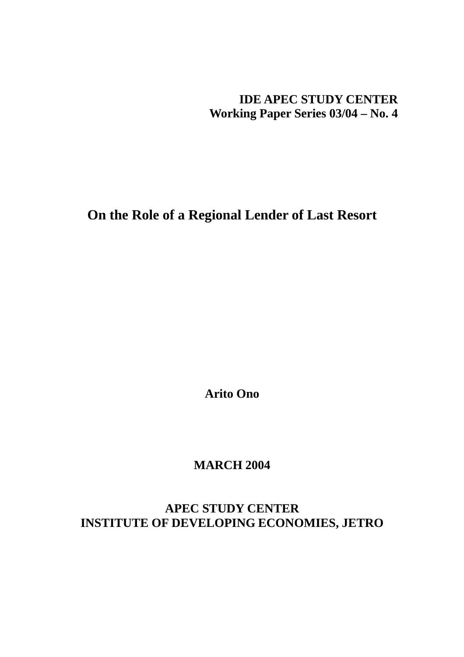**IDE APEC STUDY CENTER Working Paper Series 03/04 – No. 4** 

**On the Role of a Regional Lender of Last Resort** 

**Arito Ono** 

**MARCH 2004** 

**APEC STUDY CENTER INSTITUTE OF DEVELOPING ECONOMIES, JETRO**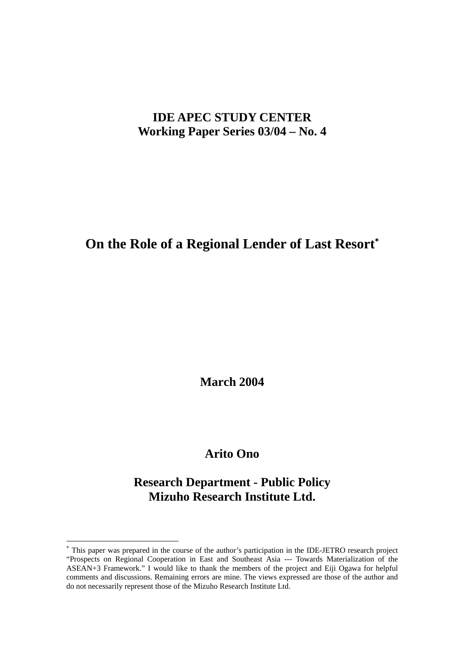# **IDE APEC STUDY CENTER Working Paper Series 03/04 – No. 4**

# **On the Role of a Regional Lender of Last Resort**[∗](#page-1-0)

**March 2004** 

# **Arito Ono**

# **Research Department - Public Policy Mizuho Research Institute Ltd.**

 $\overline{a}$ 

<span id="page-1-0"></span><sup>∗</sup> This paper was prepared in the course of the author's participation in the IDE-JETRO research project "Prospects on Regional Cooperation in East and Southeast Asia --- Towards Materialization of the ASEAN+3 Framework." I would like to thank the members of the project and Eiji Ogawa for helpful comments and discussions. Remaining errors are mine. The views expressed are those of the author and do not necessarily represent those of the Mizuho Research Institute Ltd.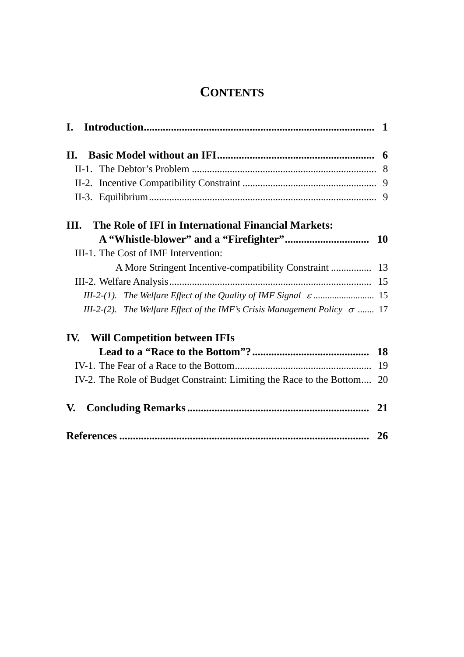# **CONTENTS**

| The Role of IFI in International Financial Markets:<br>Ш.                       |           |
|---------------------------------------------------------------------------------|-----------|
|                                                                                 |           |
| III-1. The Cost of IMF Intervention:                                            |           |
| A More Stringent Incentive-compatibility Constraint  13                         |           |
|                                                                                 |           |
|                                                                                 |           |
| III-2-(2). The Welfare Effect of the IMF's Crisis Management Policy $\sigma$ 17 |           |
| <b>Will Competition between IFIs</b><br>IV.                                     |           |
|                                                                                 |           |
|                                                                                 | 19        |
| IV-2. The Role of Budget Constraint: Limiting the Race to the Bottom 20         |           |
| V.                                                                              |           |
|                                                                                 | <b>26</b> |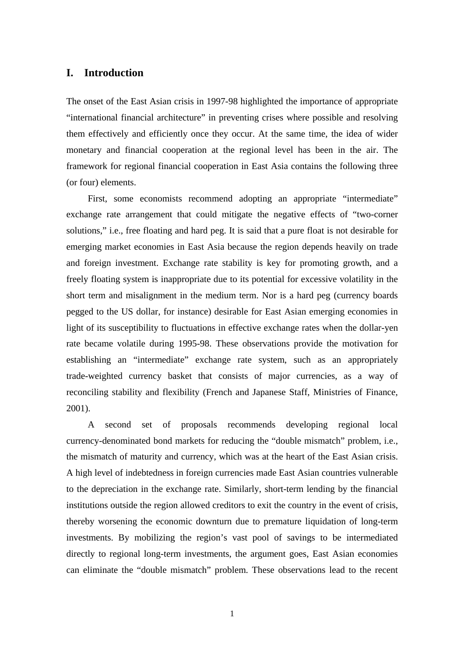# **I. Introduction**

The onset of the East Asian crisis in 1997-98 highlighted the importance of appropriate "international financial architecture" in preventing crises where possible and resolving them effectively and efficiently once they occur. At the same time, the idea of wider monetary and financial cooperation at the regional level has been in the air. The framework for regional financial cooperation in East Asia contains the following three (or four) elements.

 First, some economists recommend adopting an appropriate "intermediate" exchange rate arrangement that could mitigate the negative effects of "two-corner solutions," i.e., free floating and hard peg. It is said that a pure float is not desirable for emerging market economies in East Asia because the region depends heavily on trade and foreign investment. Exchange rate stability is key for promoting growth, and a freely floating system is inappropriate due to its potential for excessive volatility in the short term and misalignment in the medium term. Nor is a hard peg (currency boards pegged to the US dollar, for instance) desirable for East Asian emerging economies in light of its susceptibility to fluctuations in effective exchange rates when the dollar-yen rate became volatile during 1995-98. These observations provide the motivation for establishing an "intermediate" exchange rate system, such as an appropriately trade-weighted currency basket that consists of major currencies, as a way of reconciling stability and flexibility (French and Japanese Staff, Ministries of Finance, 2001).

 A second set of proposals recommends developing regional local currency-denominated bond markets for reducing the "double mismatch" problem, i.e., the mismatch of maturity and currency, which was at the heart of the East Asian crisis. A high level of indebtedness in foreign currencies made East Asian countries vulnerable to the depreciation in the exchange rate. Similarly, short-term lending by the financial institutions outside the region allowed creditors to exit the country in the event of crisis, thereby worsening the economic downturn due to premature liquidation of long-term investments. By mobilizing the region's vast pool of savings to be intermediated directly to regional long-term investments, the argument goes, East Asian economies can eliminate the "double mismatch" problem. These observations lead to the recent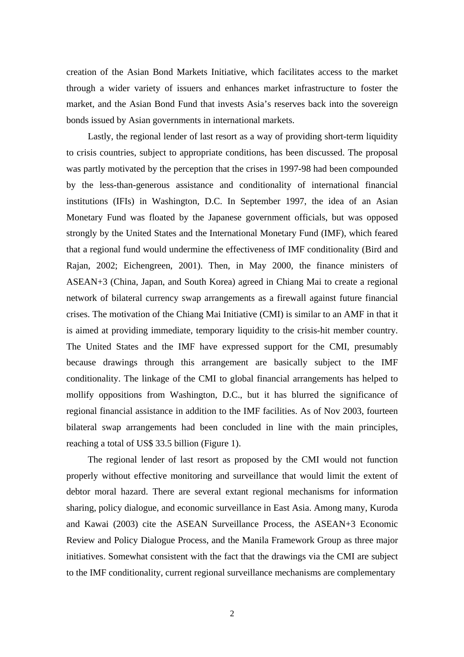creation of the Asian Bond Markets Initiative, which facilitates access to the market through a wider variety of issuers and enhances market infrastructure to foster the market, and the Asian Bond Fund that invests Asia's reserves back into the sovereign bonds issued by Asian governments in international markets.

 Lastly, the regional lender of last resort as a way of providing short-term liquidity to crisis countries, subject to appropriate conditions, has been discussed. The proposal was partly motivated by the perception that the crises in 1997-98 had been compounded by the less-than-generous assistance and conditionality of international financial institutions (IFIs) in Washington, D.C. In September 1997, the idea of an Asian Monetary Fund was floated by the Japanese government officials, but was opposed strongly by the United States and the International Monetary Fund (IMF), which feared that a regional fund would undermine the effectiveness of IMF conditionality (Bird and Rajan, 2002; Eichengreen, 2001). Then, in May 2000, the finance ministers of ASEAN+3 (China, Japan, and South Korea) agreed in Chiang Mai to create a regional network of bilateral currency swap arrangements as a firewall against future financial crises. The motivation of the Chiang Mai Initiative (CMI) is similar to an AMF in that it is aimed at providing immediate, temporary liquidity to the crisis-hit member country. The United States and the IMF have expressed support for the CMI, presumably because drawings through this arrangement are basically subject to the IMF conditionality. The linkage of the CMI to global financial arrangements has helped to mollify oppositions from Washington, D.C., but it has blurred the significance of regional financial assistance in addition to the IMF facilities. As of Nov 2003, fourteen bilateral swap arrangements had been concluded in line with the main principles, reaching a total of US\$ 33.5 billion (Figure 1).

 The regional lender of last resort as proposed by the CMI would not function properly without effective monitoring and surveillance that would limit the extent of debtor moral hazard. There are several extant regional mechanisms for information sharing, policy dialogue, and economic surveillance in East Asia. Among many, Kuroda and Kawai (2003) cite the ASEAN Surveillance Process, the ASEAN+3 Economic Review and Policy Dialogue Process, and the Manila Framework Group as three major initiatives. Somewhat consistent with the fact that the drawings via the CMI are subject to the IMF conditionality, current regional surveillance mechanisms are complementary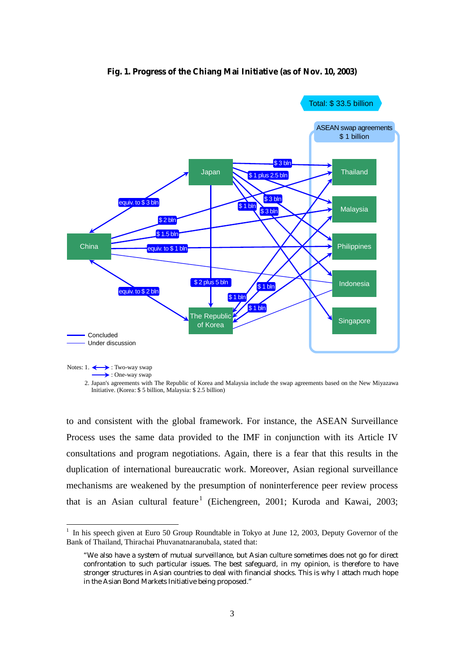

### **Fig. 1. Progress of the Chiang Mai Initiative (as of Nov. 10, 2003)**

to and consistent with the global framework. For instance, the ASEAN Surveillance Process uses the same data provided to the IMF in conjunction with its Article IV consultations and program negotiations. Again, there is a fear that this results in the duplication of international bureaucratic work. Moreover, Asian regional surveillance mechanisms are weakened by the presumption of noninterference peer review process that is an Asian cultural feature<sup>1</sup> (Eichengreen, 2001; Kuroda and Kawai, 2003;

 $\overline{a}$ 

<sup>2.</sup> Japan's agreements with The Republic of Korea and Malaysia include the swap agreements based on the New Miyazawa Initiative. (Korea: \$ 5 billion, Malaysia: \$ 2.5 billion)

<sup>&</sup>lt;sup>1</sup> In his speech given at Euro 50 Group Roundtable in Tokyo at June 12, 2003, Deputy Governor of the Bank of Thailand, Thirachai Phuvanatnaranubala, stated that:

<sup>&</sup>quot;We also have a system of mutual surveillance, but Asian culture sometimes does not go for direct confrontation to such particular issues. The best safeguard, in my opinion, is therefore to have stronger structures in Asian countries to deal with financial shocks. This is why I attach much hope in the Asian Bond Markets Initiative being proposed."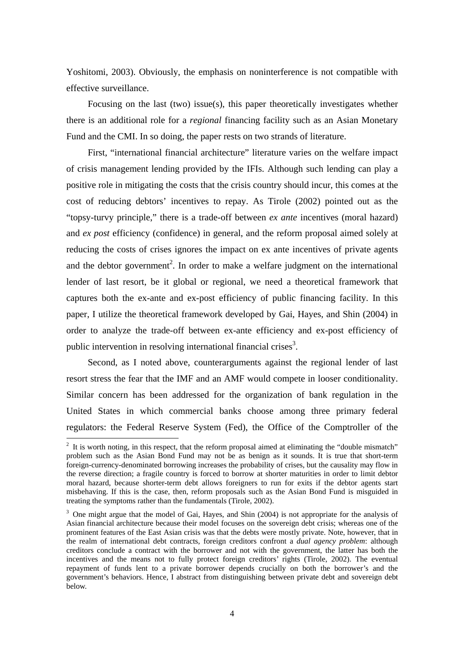Yoshitomi, 2003). Obviously, the emphasis on noninterference is not compatible with effective surveillance.

 Focusing on the last (two) issue(s), this paper theoretically investigates whether there is an additional role for a *regional* financing facility such as an Asian Monetary Fund and the CMI. In so doing, the paper rests on two strands of literature.

 First, "international financial architecture" literature varies on the welfare impact of crisis management lending provided by the IFIs. Although such lending can play a positive role in mitigating the costs that the crisis country should incur, this comes at the cost of reducing debtors' incentives to repay. As Tirole (2002) pointed out as the "topsy-turvy principle," there is a trade-off between *ex ante* incentives (moral hazard) and *ex post* efficiency (confidence) in general, and the reform proposal aimed solely at reducing the costs of crises ignores the impact on ex ante incentives of private agents and the debtor government<sup>2</sup>. In order to make a welfare judgment on the international lender of last resort, be it global or regional, we need a theoretical framework that captures both the ex-ante and ex-post efficiency of public financing facility. In this paper, I utilize the theoretical framework developed by Gai, Hayes, and Shin (2004) in order to analyze the trade-off between ex-ante efficiency and ex-post efficiency of public intervention in resolving international financial crises<sup>3</sup>.

 Second, as I noted above, counterarguments against the regional lender of last resort stress the fear that the IMF and an AMF would compete in looser conditionality. Similar concern has been addressed for the organization of bank regulation in the United States in which commercial banks choose among three primary federal regulators: the Federal Reserve System (Fed), the Office of the Comptroller of the

 $\overline{a}$ 

 $2<sup>2</sup>$  It is worth noting, in this respect, that the reform proposal aimed at eliminating the "double mismatch" problem such as the Asian Bond Fund may not be as benign as it sounds. It is true that short-term foreign-currency-denominated borrowing increases the probability of crises, but the causality may flow in the reverse direction; a fragile country is forced to borrow at shorter maturities in order to limit debtor moral hazard, because shorter-term debt allows foreigners to run for exits if the debtor agents start misbehaving. If this is the case, then, reform proposals such as the Asian Bond Fund is misguided in treating the symptoms rather than the fundamentals (Tirole, 2002).

<sup>&</sup>lt;sup>3</sup> One might argue that the model of Gai, Hayes, and Shin (2004) is not appropriate for the analysis of Asian financial architecture because their model focuses on the sovereign debt crisis; whereas one of the prominent features of the East Asian crisis was that the debts were mostly private. Note, however, that in the realm of international debt contracts, foreign creditors confront a *dual agency problem*: although creditors conclude a contract with the borrower and not with the government, the latter has both the incentives and the means not to fully protect foreign creditors' rights (Tirole, 2002). The eventual repayment of funds lent to a private borrower depends crucially on both the borrower's and the government's behaviors. Hence, I abstract from distinguishing between private debt and sovereign debt below.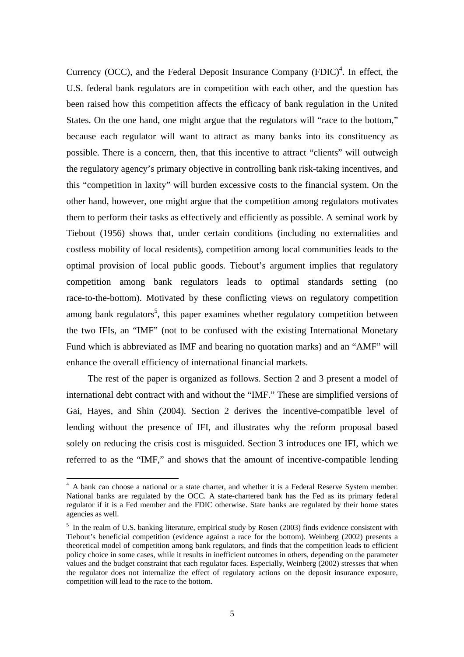Currency (OCC), and the Federal Deposit Insurance Company  $(FDIC)^4$ . In effect, the U.S. federal bank regulators are in competition with each other, and the question has been raised how this competition affects the efficacy of bank regulation in the United States. On the one hand, one might argue that the regulators will "race to the bottom," because each regulator will want to attract as many banks into its constituency as possible. There is a concern, then, that this incentive to attract "clients" will outweigh the regulatory agency's primary objective in controlling bank risk-taking incentives, and this "competition in laxity" will burden excessive costs to the financial system. On the other hand, however, one might argue that the competition among regulators motivates them to perform their tasks as effectively and efficiently as possible. A seminal work by Tiebout (1956) shows that, under certain conditions (including no externalities and costless mobility of local residents), competition among local communities leads to the optimal provision of local public goods. Tiebout's argument implies that regulatory competition among bank regulators leads to optimal standards setting (no race-to-the-bottom). Motivated by these conflicting views on regulatory competition among bank regulators<sup>5</sup>, this paper examines whether regulatory competition between the two IFIs, an "IMF" (not to be confused with the existing International Monetary Fund which is abbreviated as IMF and bearing no quotation marks) and an "AMF" will enhance the overall efficiency of international financial markets.

 The rest of the paper is organized as follows. Section 2 and 3 present a model of international debt contract with and without the "IMF." These are simplified versions of Gai, Hayes, and Shin (2004). Section 2 derives the incentive-compatible level of lending without the presence of IFI, and illustrates why the reform proposal based solely on reducing the crisis cost is misguided. Section 3 introduces one IFI, which we referred to as the "IMF," and shows that the amount of incentive-compatible lending

<sup>&</sup>lt;sup>4</sup> A bank can choose a national or a state charter, and whether it is a Federal Reserve System member. National banks are regulated by the OCC. A state-chartered bank has the Fed as its primary federal regulator if it is a Fed member and the FDIC otherwise. State banks are regulated by their home states agencies as well.

 $<sup>5</sup>$  In the realm of U.S. banking literature, empirical study by Rosen (2003) finds evidence consistent with</sup> Tiebout's beneficial competition (evidence against a race for the bottom). Weinberg (2002) presents a theoretical model of competition among bank regulators, and finds that the competition leads to efficient policy choice in some cases, while it results in inefficient outcomes in others, depending on the parameter values and the budget constraint that each regulator faces. Especially, Weinberg (2002) stresses that when the regulator does not internalize the effect of regulatory actions on the deposit insurance exposure, competition will lead to the race to the bottom.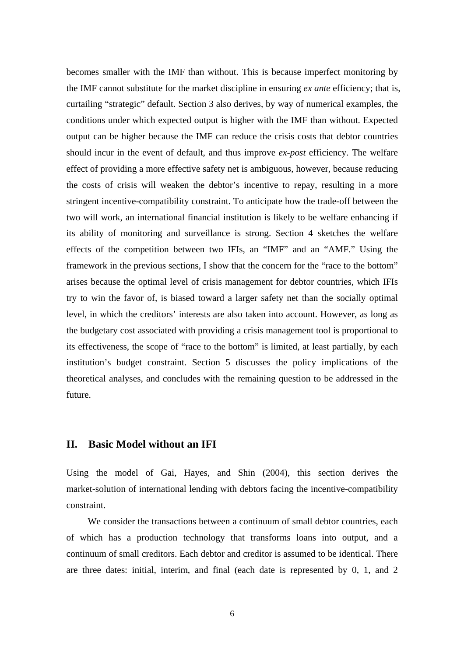becomes smaller with the IMF than without. This is because imperfect monitoring by the IMF cannot substitute for the market discipline in ensuring *ex ante* efficiency; that is, curtailing "strategic" default. Section 3 also derives, by way of numerical examples, the conditions under which expected output is higher with the IMF than without. Expected output can be higher because the IMF can reduce the crisis costs that debtor countries should incur in the event of default, and thus improve *ex-post* efficiency. The welfare effect of providing a more effective safety net is ambiguous, however, because reducing the costs of crisis will weaken the debtor's incentive to repay, resulting in a more stringent incentive-compatibility constraint. To anticipate how the trade-off between the two will work, an international financial institution is likely to be welfare enhancing if its ability of monitoring and surveillance is strong. Section 4 sketches the welfare effects of the competition between two IFIs, an "IMF" and an "AMF." Using the framework in the previous sections, I show that the concern for the "race to the bottom" arises because the optimal level of crisis management for debtor countries, which IFIs try to win the favor of, is biased toward a larger safety net than the socially optimal level, in which the creditors' interests are also taken into account. However, as long as the budgetary cost associated with providing a crisis management tool is proportional to its effectiveness, the scope of "race to the bottom" is limited, at least partially, by each institution's budget constraint. Section 5 discusses the policy implications of the theoretical analyses, and concludes with the remaining question to be addressed in the future.

# **II. Basic Model without an IFI**

Using the model of Gai, Hayes, and Shin (2004), this section derives the market-solution of international lending with debtors facing the incentive-compatibility constraint.

 We consider the transactions between a continuum of small debtor countries, each of which has a production technology that transforms loans into output, and a continuum of small creditors. Each debtor and creditor is assumed to be identical. There are three dates: initial, interim, and final (each date is represented by 0, 1, and 2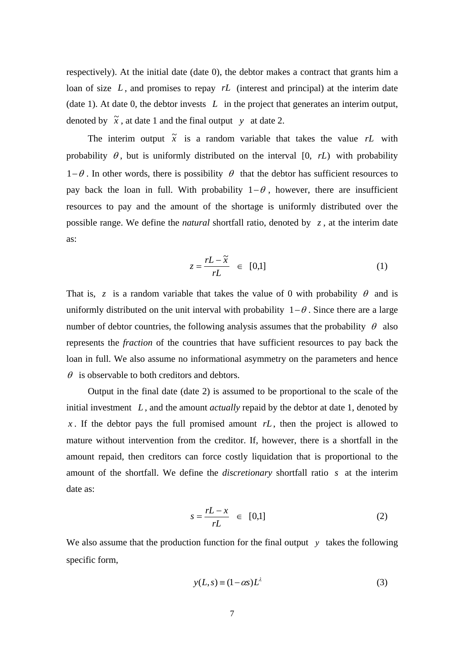respectively). At the initial date (date 0), the debtor makes a contract that grants him a loan of size L, and promises to repay rL (interest and principal) at the interim date (date 1). At date 0, the debtor invests *L* in the project that generates an interim output, denoted by  $\tilde{x}$ , at date 1 and the final output *y* at date 2.

The interim output  $\tilde{x}$  is a random variable that takes the value rL with probability  $\theta$ , but is uniformly distributed on the interval  $[0, rL)$  with probability  $1-\theta$ . In other words, there is possibility  $\theta$  that the debtor has sufficient resources to pay back the loan in full. With probability  $1-\theta$ , however, there are insufficient resources to pay and the amount of the shortage is uniformly distributed over the possible range. We define the *natural* shortfall ratio, denoted by *z* , at the interim date as:

$$
z = \frac{rL - \tilde{x}}{rL} \in [0,1] \tag{1}
$$

That is, *z* is a random variable that takes the value of 0 with probability  $\theta$  and is uniformly distributed on the unit interval with probability  $1-\theta$ . Since there are a large number of debtor countries, the following analysis assumes that the probability  $\theta$  also represents the *fraction* of the countries that have sufficient resources to pay back the loan in full. We also assume no informational asymmetry on the parameters and hence  $\theta$  is observable to both creditors and debtors.

 Output in the final date (date 2) is assumed to be proportional to the scale of the initial investment *L* , and the amount *actually* repaid by the debtor at date 1, denoted by *x*. If the debtor pays the full promised amount  $rL$ , then the project is allowed to mature without intervention from the creditor. If, however, there is a shortfall in the amount repaid, then creditors can force costly liquidation that is proportional to the amount of the shortfall. We define the *discretionary* shortfall ratio *s* at the interim date as:

$$
s = \frac{rL - x}{rL} \in [0,1] \tag{2}
$$

We also assume that the production function for the final output  $y$  takes the following specific form,

$$
y(L,s) \equiv (1 - \alpha s)L^{\lambda}
$$
 (3)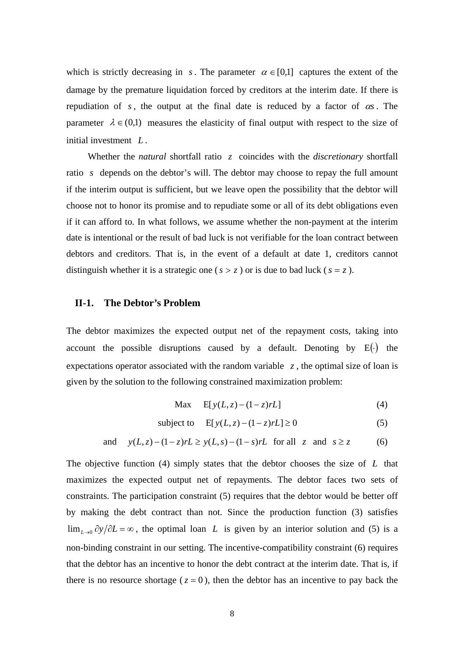which is strictly decreasing in *s*. The parameter  $\alpha \in [0,1]$  captures the extent of the damage by the premature liquidation forced by creditors at the interim date. If there is repudiation of *s*, the output at the final date is reduced by a factor of  $\alpha s$ . The parameter  $\lambda \in (0,1)$  measures the elasticity of final output with respect to the size of initial investment *L* .

 Whether the *natural* shortfall ratio *z* coincides with the *discretionary* shortfall ratio *s* depends on the debtor's will. The debtor may choose to repay the full amount if the interim output is sufficient, but we leave open the possibility that the debtor will choose not to honor its promise and to repudiate some or all of its debt obligations even if it can afford to. In what follows, we assume whether the non-payment at the interim date is intentional or the result of bad luck is not verifiable for the loan contract between debtors and creditors. That is, in the event of a default at date 1, creditors cannot distinguish whether it is a strategic one ( $s > z$ ) or is due to bad luck ( $s = z$ ).

### **II-1. The Debtor's Problem**

The debtor maximizes the expected output net of the repayment costs, taking into account the possible disruptions caused by a default. Denoting by  $E(\cdot)$  the expectations operator associated with the random variable *z* , the optimal size of loan is given by the solution to the following constrained maximization problem:

$$
\text{Max} \quad E[y(L, z) - (1 - z)rL] \tag{4}
$$

subject to  $E[v(L, z) - (1-z)rL] \ge 0$  (5)

and 
$$
y(L, z) - (1 - z)rL \ge y(L, s) - (1 - s)rL
$$
 for all z and  $s \ge z$  (6)

The objective function (4) simply states that the debtor chooses the size of *L* that maximizes the expected output net of repayments. The debtor faces two sets of constraints. The participation constraint (5) requires that the debtor would be better off by making the debt contract than not. Since the production function (3) satisfies  $\lim_{L\to 0} \frac{\partial y}{\partial L} = \infty$ , the optimal loan *L* is given by an interior solution and (5) is a non-binding constraint in our setting. The incentive-compatibility constraint (6) requires that the debtor has an incentive to honor the debt contract at the interim date. That is, if there is no resource shortage ( $z = 0$ ), then the debtor has an incentive to pay back the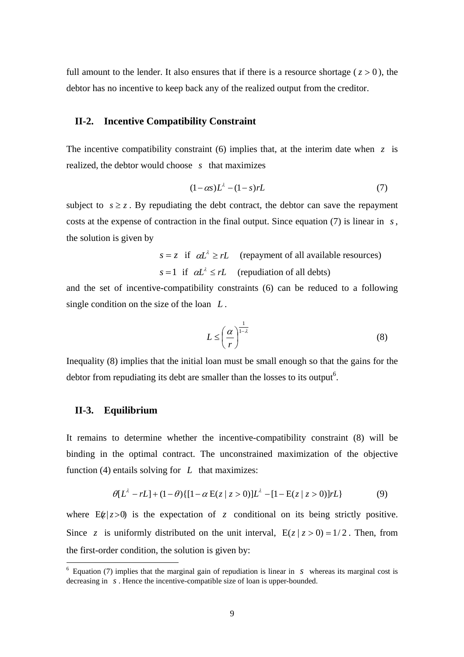full amount to the lender. It also ensures that if there is a resource shortage ( $z > 0$ ), the debtor has no incentive to keep back any of the realized output from the creditor.

### **II-2. Incentive Compatibility Constraint**

The incentive compatibility constraint (6) implies that, at the interim date when  $z$  is realized, the debtor would choose *s* that maximizes

$$
(1 - \alpha s)L^{\lambda} - (1 - s)rL \tag{7}
$$

subject to  $s \ge z$ . By repudiating the debt contract, the debtor can save the repayment costs at the expense of contraction in the final output. Since equation (7) is linear in *s*, the solution is given by

$$
s = z
$$
 if  $\alpha L^{\lambda} \ge rL$  (repayment of all available resources)  
 $s = 1$  if  $\alpha L^{\lambda} \le rL$  (repudiation of all debts)

and the set of incentive-compatibility constraints (6) can be reduced to a following single condition on the size of the loan *L* .

$$
L \leq \left(\frac{\alpha}{r}\right)^{\frac{1}{1-\lambda}}
$$
\n(8)

Inequality (8) implies that the initial loan must be small enough so that the gains for the debtor from repudiating its debt are smaller than the losses to its output<sup>6</sup>.

## **II-3. Equilibrium**

 $\overline{a}$ 

It remains to determine whether the incentive-compatibility constraint (8) will be binding in the optimal contract. The unconstrained maximization of the objective function (4) entails solving for *L* that maximizes:

$$
\theta[L^{\lambda} - rL] + (1 - \theta) \{ [1 - \alpha E(z \mid z > 0)]L^{\lambda} - [1 - E(z \mid z > 0)]rL \}
$$
(9)

where  $E(z>0)$  is the expectation of *z* conditional on its being strictly positive. Since *z* is uniformly distributed on the unit interval,  $E(z | z > 0) = 1/2$ . Then, from the first-order condition, the solution is given by:

 $6$  Equation (7) implies that the marginal gain of repudiation is linear in *s* whereas its marginal cost is decreasing in *s* . Hence the incentive-compatible size of loan is upper-bounded.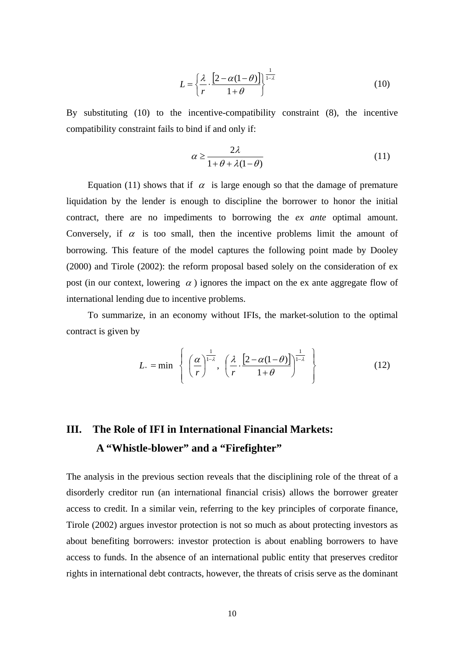$$
L = \left\{ \frac{\lambda}{r} \cdot \frac{\left[2 - \alpha(1 - \theta)\right]}{1 + \theta} \right\}^{\frac{1}{1 - \lambda}}
$$
(10)

By substituting (10) to the incentive-compatibility constraint (8), the incentive compatibility constraint fails to bind if and only if:

$$
\alpha \ge \frac{2\lambda}{1 + \theta + \lambda(1 - \theta)}\tag{11}
$$

Equation (11) shows that if  $\alpha$  is large enough so that the damage of premature liquidation by the lender is enough to discipline the borrower to honor the initial contract, there are no impediments to borrowing the *ex ante* optimal amount. Conversely, if  $\alpha$  is too small, then the incentive problems limit the amount of borrowing. This feature of the model captures the following point made by Dooley (2000) and Tirole (2002): the reform proposal based solely on the consideration of ex post (in our context, lowering  $\alpha$ ) ignores the impact on the ex ante aggregate flow of international lending due to incentive problems.

 To summarize, in an economy without IFIs, the market-solution to the optimal contract is given by

$$
L_{*} = \min \left\{ \left( \frac{\alpha}{r} \right)^{\frac{1}{1-\lambda}}, \left( \frac{\lambda}{r} \cdot \frac{\left[2 - \alpha(1-\theta)\right]}{1+\theta} \right)^{\frac{1}{1-\lambda}} \right\}
$$
(12)

# **III. The Role of IFI in International Financial Markets: A "Whistle-blower" and a "Firefighter"**

The analysis in the previous section reveals that the disciplining role of the threat of a disorderly creditor run (an international financial crisis) allows the borrower greater access to credit. In a similar vein, referring to the key principles of corporate finance, Tirole (2002) argues investor protection is not so much as about protecting investors as about benefiting borrowers: investor protection is about enabling borrowers to have access to funds. In the absence of an international public entity that preserves creditor rights in international debt contracts, however, the threats of crisis serve as the dominant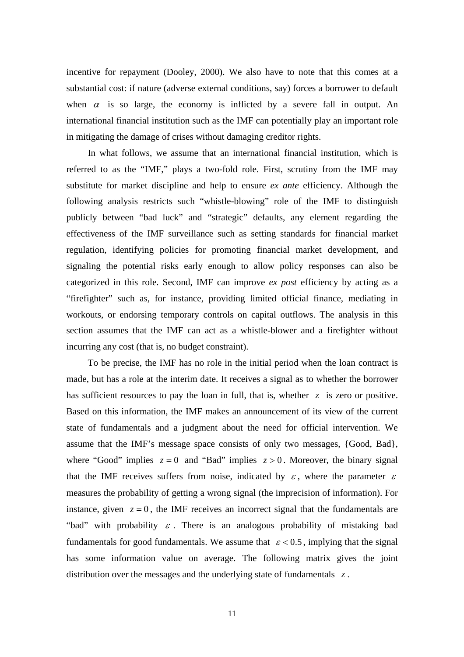incentive for repayment (Dooley, 2000). We also have to note that this comes at a substantial cost: if nature (adverse external conditions, say) forces a borrower to default when  $\alpha$  is so large, the economy is inflicted by a severe fall in output. An international financial institution such as the IMF can potentially play an important role in mitigating the damage of crises without damaging creditor rights.

 In what follows, we assume that an international financial institution, which is referred to as the "IMF," plays a two-fold role. First, scrutiny from the IMF may substitute for market discipline and help to ensure *ex ante* efficiency. Although the following analysis restricts such "whistle-blowing" role of the IMF to distinguish publicly between "bad luck" and "strategic" defaults, any element regarding the effectiveness of the IMF surveillance such as setting standards for financial market regulation, identifying policies for promoting financial market development, and signaling the potential risks early enough to allow policy responses can also be categorized in this role. Second, IMF can improve *ex post* efficiency by acting as a "firefighter" such as, for instance, providing limited official finance, mediating in workouts, or endorsing temporary controls on capital outflows. The analysis in this section assumes that the IMF can act as a whistle-blower and a firefighter without incurring any cost (that is, no budget constraint).

 To be precise, the IMF has no role in the initial period when the loan contract is made, but has a role at the interim date. It receives a signal as to whether the borrower has sufficient resources to pay the loan in full, that is, whether *z* is zero or positive. Based on this information, the IMF makes an announcement of its view of the current state of fundamentals and a judgment about the need for official intervention. We assume that the IMF's message space consists of only two messages, {Good, Bad}, where "Good" implies  $z = 0$  and "Bad" implies  $z > 0$ . Moreover, the binary signal that the IMF receives suffers from noise, indicated by  $\varepsilon$ , where the parameter  $\varepsilon$ measures the probability of getting a wrong signal (the imprecision of information). For instance, given  $z = 0$ , the IMF receives an incorrect signal that the fundamentals are "bad" with probability  $\varepsilon$ . There is an analogous probability of mistaking bad fundamentals for good fundamentals. We assume that  $\varepsilon < 0.5$ , implying that the signal has some information value on average. The following matrix gives the joint distribution over the messages and the underlying state of fundamentals *z* .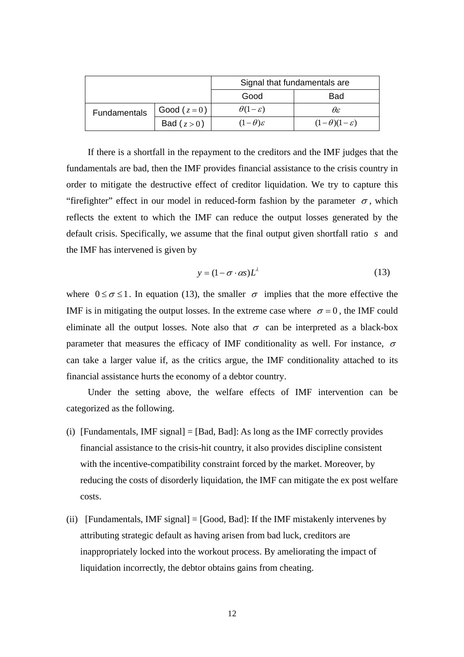|              |                 | Signal that fundamentals are |                             |
|--------------|-----------------|------------------------------|-----------------------------|
|              |                 | Good                         | Bad                         |
| Fundamentals | Good ( $z=0$ )  | $\theta(1-\varepsilon)$      | θε                          |
|              | Bad ( $z > 0$ ) | $(1-\theta)\varepsilon$      | $(1-\theta)(1-\varepsilon)$ |

 If there is a shortfall in the repayment to the creditors and the IMF judges that the fundamentals are bad, then the IMF provides financial assistance to the crisis country in order to mitigate the destructive effect of creditor liquidation. We try to capture this "firefighter" effect in our model in reduced-form fashion by the parameter  $\sigma$ , which reflects the extent to which the IMF can reduce the output losses generated by the default crisis. Specifically, we assume that the final output given shortfall ratio *s* and the IMF has intervened is given by

$$
y = (1 - \sigma \cdot \alpha s) L^{\lambda} \tag{13}
$$

where  $0 \le \sigma \le 1$ . In equation (13), the smaller  $\sigma$  implies that the more effective the IMF is in mitigating the output losses. In the extreme case where  $\sigma = 0$ , the IMF could eliminate all the output losses. Note also that  $\sigma$  can be interpreted as a black-box parameter that measures the efficacy of IMF conditionality as well. For instance,  $\sigma$ can take a larger value if, as the critics argue, the IMF conditionality attached to its financial assistance hurts the economy of a debtor country.

 Under the setting above, the welfare effects of IMF intervention can be categorized as the following.

- (i) [Fundamentals, IMF signal] =  $[Bad, Bad]$ : As long as the IMF correctly provides financial assistance to the crisis-hit country, it also provides discipline consistent with the incentive-compatibility constraint forced by the market. Moreover, by reducing the costs of disorderly liquidation, the IMF can mitigate the ex post welfare costs.
- (ii) [Fundamentals, IMF signal]  $=$  [Good, Bad]: If the IMF mistakenly intervenes by attributing strategic default as having arisen from bad luck, creditors are inappropriately locked into the workout process. By ameliorating the impact of liquidation incorrectly, the debtor obtains gains from cheating.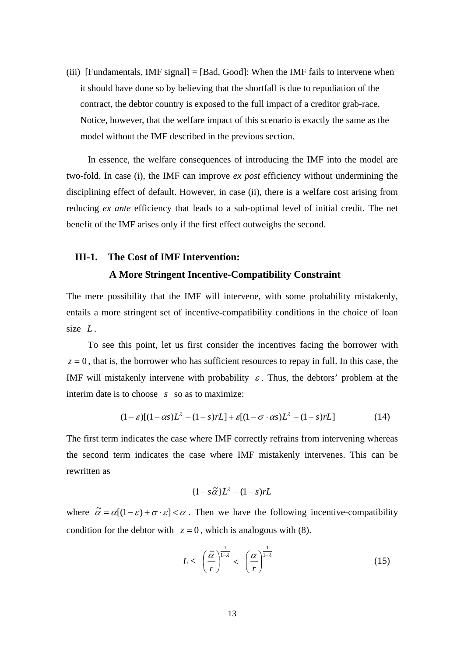(iii) [Fundamentals, IMF signal] = [Bad, Good]: When the IMF fails to intervene when it should have done so by believing that the shortfall is due to repudiation of the contract, the debtor country is exposed to the full impact of a creditor grab-race. Notice, however, that the welfare impact of this scenario is exactly the same as the model without the IMF described in the previous section.

 In essence, the welfare consequences of introducing the IMF into the model are two-fold. In case (i), the IMF can improve *ex post* efficiency without undermining the disciplining effect of default. However, in case (ii), there is a welfare cost arising from reducing *ex ante* efficiency that leads to a sub-optimal level of initial credit. The net benefit of the IMF arises only if the first effect outweighs the second.

# **III-1. The Cost of IMF Intervention:**

## **A More Stringent Incentive-Compatibility Constraint**

The mere possibility that the IMF will intervene, with some probability mistakenly, entails a more stringent set of incentive-compatibility conditions in the choice of loan size *L*.

 To see this point, let us first consider the incentives facing the borrower with  $z = 0$ , that is, the borrower who has sufficient resources to repay in full. In this case, the IMF will mistakenly intervene with probability  $\varepsilon$ . Thus, the debtors' problem at the interim date is to choose *s* so as to maximize:

$$
(1 - \varepsilon)[(1 - \alpha s)L^{\lambda} - (1 - s)rL] + \varepsilon[(1 - \sigma \cdot \alpha s)L^{\lambda} - (1 - s)rL]
$$
\n(14)

The first term indicates the case where IMF correctly refrains from intervening whereas the second term indicates the case where IMF mistakenly intervenes. This can be rewritten as

$$
\{1 - s\tilde{\alpha}\}L^{\lambda} - (1 - s)rL
$$

where  $\tilde{\alpha} = \alpha[(1-\varepsilon)+\sigma \cdot \varepsilon] < \alpha$ . Then we have the following incentive-compatibility condition for the debtor with  $z = 0$ , which is analogous with (8).

$$
L \leq \left(\frac{\widetilde{\alpha}}{r}\right)^{\frac{1}{1-\lambda}} < \left(\frac{\alpha}{r}\right)^{\frac{1}{1-\lambda}}\tag{15}
$$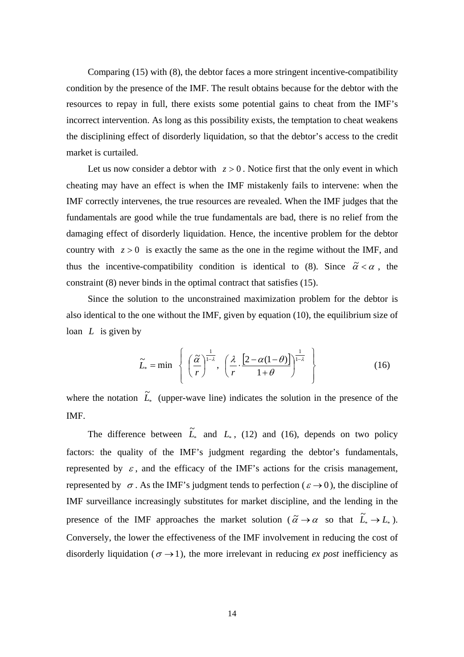Comparing (15) with (8), the debtor faces a more stringent incentive-compatibility condition by the presence of the IMF. The result obtains because for the debtor with the resources to repay in full, there exists some potential gains to cheat from the IMF's incorrect intervention. As long as this possibility exists, the temptation to cheat weakens the disciplining effect of disorderly liquidation, so that the debtor's access to the credit market is curtailed.

Let us now consider a debtor with  $z > 0$ . Notice first that the only event in which cheating may have an effect is when the IMF mistakenly fails to intervene: when the IMF correctly intervenes, the true resources are revealed. When the IMF judges that the fundamentals are good while the true fundamentals are bad, there is no relief from the damaging effect of disorderly liquidation. Hence, the incentive problem for the debtor country with  $z > 0$  is exactly the same as the one in the regime without the IMF, and thus the incentive-compatibility condition is identical to (8). Since  $\tilde{\alpha} < \alpha$ , the constraint (8) never binds in the optimal contract that satisfies (15).

 Since the solution to the unconstrained maximization problem for the debtor is also identical to the one without the IMF, given by equation (10), the equilibrium size of loan *L* is given by

$$
\widetilde{L}_{*} = \min \left\{ \left( \frac{\widetilde{\alpha}}{r} \right)^{\frac{1}{1-\lambda}}, \left( \frac{\lambda}{r} \cdot \frac{\left[2 - \alpha(1-\theta)\right]}{1+\theta} \right)^{\frac{1}{1-\lambda}} \right\}
$$
(16)

where the notation  $\tilde{L}_*$  (upper-wave line) indicates the solution in the presence of the IMF.

The difference between  $\tilde{L}_*$  and  $L_*$ , (12) and (16), depends on two policy factors: the quality of the IMF's judgment regarding the debtor's fundamentals, represented by  $\varepsilon$ , and the efficacy of the IMF's actions for the crisis management, represented by  $\sigma$ . As the IMF's judgment tends to perfection ( $\varepsilon \to 0$ ), the discipline of IMF surveillance increasingly substitutes for market discipline, and the lending in the presence of the IMF approaches the market solution ( $\tilde{\alpha} \rightarrow \alpha$  so that  $\tilde{L}_* \rightarrow L_*$ ). Conversely, the lower the effectiveness of the IMF involvement in reducing the cost of disorderly liquidation ( $\sigma \rightarrow 1$ ), the more irrelevant in reducing *ex post* inefficiency as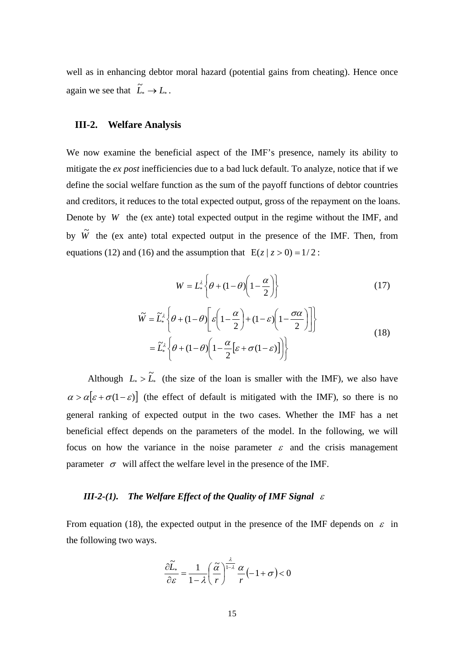well as in enhancing debtor moral hazard (potential gains from cheating). Hence once again we see that  $\widetilde{L}_* \to L_*$ .

## **III-2. Welfare Analysis**

We now examine the beneficial aspect of the IMF's presence, namely its ability to mitigate the *ex post* inefficiencies due to a bad luck default. To analyze, notice that if we define the social welfare function as the sum of the payoff functions of debtor countries and creditors, it reduces to the total expected output, gross of the repayment on the loans. Denote by *W* the (ex ante) total expected output in the regime without the IMF, and by  $\tilde{W}$  the (ex ante) total expected output in the presence of the IMF. Then, from equations (12) and (16) and the assumption that  $E(z | z > 0) = 1/2$ :

$$
W = L_*^{\lambda} \left\{ \theta + (1 - \theta) \left( 1 - \frac{\alpha}{2} \right) \right\}
$$
 (17)

$$
\widetilde{W} = \widetilde{L}_*^{\lambda} \left\{ \theta + (1 - \theta) \left[ \varepsilon \left( 1 - \frac{\alpha}{2} \right) + (1 - \varepsilon) \left( 1 - \frac{\sigma \alpha}{2} \right) \right] \right\}
$$
\n
$$
= \widetilde{L}_*^{\lambda} \left\{ \theta + (1 - \theta) \left( 1 - \frac{\alpha}{2} \left[ \varepsilon + \sigma (1 - \varepsilon) \right] \right) \right\}
$$
\n(18)

Although  $L_* > \tilde{L}_*$  (the size of the loan is smaller with the IMF), we also have  $\alpha > \alpha \big[ \varepsilon + \sigma(1-\varepsilon) \big]$  (the effect of default is mitigated with the IMF), so there is no general ranking of expected output in the two cases. Whether the IMF has a net beneficial effect depends on the parameters of the model. In the following, we will focus on how the variance in the noise parameter  $\varepsilon$  and the crisis management parameter  $\sigma$  will affect the welfare level in the presence of the IMF.

## *III-2-(1). The Welfare Effect of the Quality of IMF Signal* <sup>ε</sup>

From equation (18), the expected output in the presence of the IMF depends on  $\varepsilon$  in the following two ways.

$$
\frac{\partial \widetilde{L}_*}{\partial \varepsilon} = \frac{1}{1 - \lambda} \left( \frac{\widetilde{\alpha}}{r} \right)^{\frac{\lambda}{1 - \lambda}} \frac{\alpha}{r} \left( -1 + \sigma \right) < 0
$$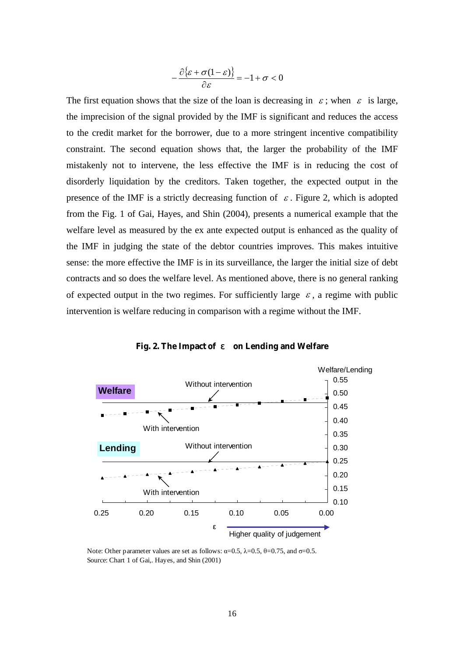$$
-\frac{\partial {\{\varepsilon} + \sigma(1-\varepsilon)\}}{\partial \varepsilon} = -1 + \sigma < 0
$$

The first equation shows that the size of the loan is decreasing in  $\varepsilon$ ; when  $\varepsilon$  is large, the imprecision of the signal provided by the IMF is significant and reduces the access to the credit market for the borrower, due to a more stringent incentive compatibility constraint. The second equation shows that, the larger the probability of the IMF mistakenly not to intervene, the less effective the IMF is in reducing the cost of disorderly liquidation by the creditors. Taken together, the expected output in the presence of the IMF is a strictly decreasing function of  $\varepsilon$ . Figure 2, which is adopted from the Fig. 1 of Gai, Hayes, and Shin (2004), presents a numerical example that the welfare level as measured by the ex ante expected output is enhanced as the quality of the IMF in judging the state of the debtor countries improves. This makes intuitive sense: the more effective the IMF is in its surveillance, the larger the initial size of debt contracts and so does the welfare level. As mentioned above, there is no general ranking of expected output in the two regimes. For sufficiently large  $\varepsilon$ , a regime with public intervention is welfare reducing in comparison with a regime without the IMF.



**Fig. 2. The Impact of**  on Lending and Welfare

Note: Other parameter values are set as follows:  $\alpha=0.5$ ,  $\lambda=0.5$ ,  $\theta=0.75$ , and  $\sigma=0.5$ . Source: Chart 1 of Gai,. Hayes, and Shin (2001)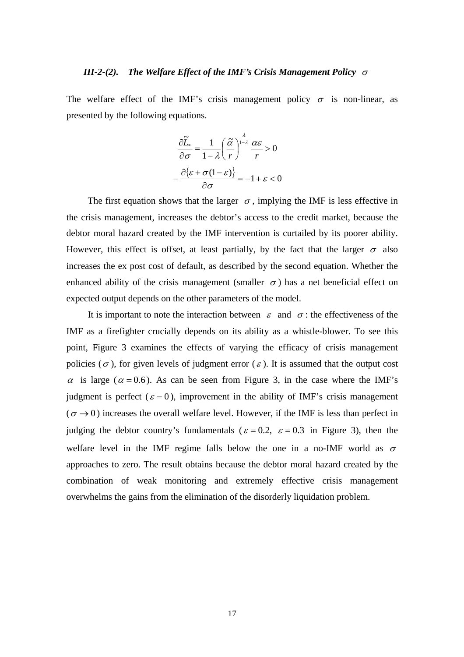### *III-2-(2). The Welfare Effect of the IMF's Crisis Management Policy* <sup>σ</sup>

The welfare effect of the IMF's crisis management policy  $\sigma$  is non-linear, as presented by the following equations.

$$
\frac{\partial \widetilde{L}_*}{\partial \sigma} = \frac{1}{1 - \lambda} \left( \frac{\widetilde{\alpha}}{r} \right)^{\frac{\lambda}{1 - \lambda}} \frac{\alpha \varepsilon}{r} > 0
$$

$$
-\frac{\partial \{\varepsilon + \sigma (1 - \varepsilon)\}}{\partial \sigma} = -1 + \varepsilon < 0
$$

The first equation shows that the larger  $\sigma$ , implying the IMF is less effective in the crisis management, increases the debtor's access to the credit market, because the debtor moral hazard created by the IMF intervention is curtailed by its poorer ability. However, this effect is offset, at least partially, by the fact that the larger  $\sigma$  also increases the ex post cost of default, as described by the second equation. Whether the enhanced ability of the crisis management (smaller  $\sigma$ ) has a net beneficial effect on expected output depends on the other parameters of the model.

It is important to note the interaction between  $\varepsilon$  and  $\sigma$ : the effectiveness of the IMF as a firefighter crucially depends on its ability as a whistle-blower. To see this point, Figure 3 examines the effects of varying the efficacy of crisis management policies ( $\sigma$ ), for given levels of judgment error ( $\varepsilon$ ). It is assumed that the output cost  $\alpha$  is large ( $\alpha$  = 0.6). As can be seen from Figure 3, in the case where the IMF's judgment is perfect ( $\varepsilon = 0$ ), improvement in the ability of IMF's crisis management  $(\sigma \rightarrow 0)$  increases the overall welfare level. However, if the IMF is less than perfect in judging the debtor country's fundamentals ( $\varepsilon = 0.2$ ,  $\varepsilon = 0.3$  in Figure 3), then the welfare level in the IMF regime falls below the one in a no-IMF world as  $\sigma$ approaches to zero. The result obtains because the debtor moral hazard created by the combination of weak monitoring and extremely effective crisis management overwhelms the gains from the elimination of the disorderly liquidation problem.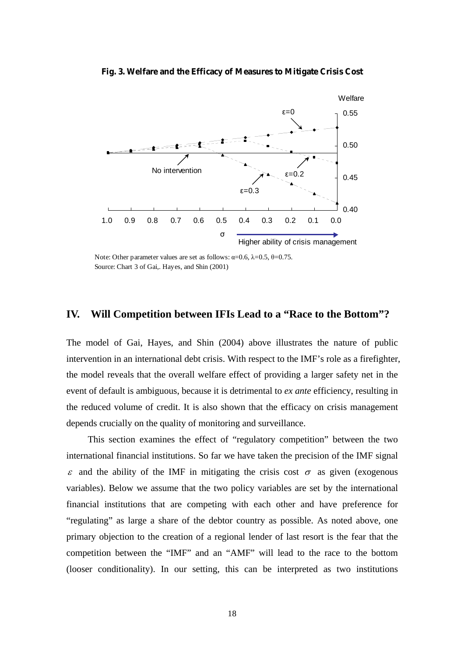### **Fig. 3. Welfare and the Efficacy of Measures to Mitigate Crisis Cost**



Note: Other parameter values are set as follows:  $\alpha$ =0.6, λ=0.5, θ=0.75. Source: Chart 3 of Gai,. Hayes, and Shin (2001)

# **IV. Will Competition between IFIs Lead to a "Race to the Bottom"?**

The model of Gai, Hayes, and Shin (2004) above illustrates the nature of public intervention in an international debt crisis. With respect to the IMF's role as a firefighter, the model reveals that the overall welfare effect of providing a larger safety net in the event of default is ambiguous, because it is detrimental to *ex ante* efficiency, resulting in the reduced volume of credit. It is also shown that the efficacy on crisis management depends crucially on the quality of monitoring and surveillance.

 This section examines the effect of "regulatory competition" between the two international financial institutions. So far we have taken the precision of the IMF signal  $\epsilon$  and the ability of the IMF in mitigating the crisis cost  $\sigma$  as given (exogenous variables). Below we assume that the two policy variables are set by the international financial institutions that are competing with each other and have preference for "regulating" as large a share of the debtor country as possible. As noted above, one primary objection to the creation of a regional lender of last resort is the fear that the competition between the "IMF" and an "AMF" will lead to the race to the bottom (looser conditionality). In our setting, this can be interpreted as two institutions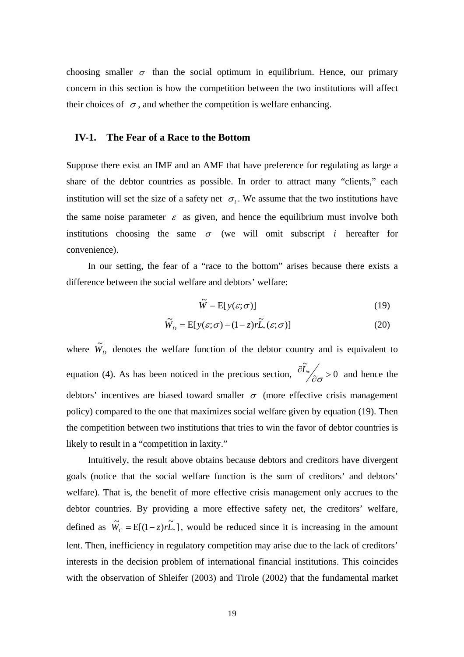choosing smaller  $\sigma$  than the social optimum in equilibrium. Hence, our primary concern in this section is how the competition between the two institutions will affect their choices of  $\sigma$ , and whether the competition is welfare enhancing.

## **IV-1. The Fear of a Race to the Bottom**

Suppose there exist an IMF and an AMF that have preference for regulating as large a share of the debtor countries as possible. In order to attract many "clients," each institution will set the size of a safety net  $\sigma_i$ . We assume that the two institutions have the same noise parameter  $\varepsilon$  as given, and hence the equilibrium must involve both institutions choosing the same  $\sigma$  (we will omit subscript *i* hereafter for convenience).

 In our setting, the fear of a "race to the bottom" arises because there exists a difference between the social welfare and debtors' welfare:

$$
\widetilde{W} = \mathbf{E}[y(\varepsilon; \sigma)] \tag{19}
$$

$$
\widetilde{W}_D = E[y(\varepsilon; \sigma) - (1 - z)r\widetilde{L}_*(\varepsilon; \sigma)] \tag{20}
$$

where  $\tilde{W}_D$  denotes the welfare function of the debtor country and is equivalent to equation (4). As has been noticed in the precious section,  $\frac{U_{*}}{2} > 0$ .<br>7  $\frac{\partial \widetilde{L}_*}{\partial \sigma}$ >  $\frac{\tilde{L}_*}{\partial \sigma} > 0$  and hence the debtors' incentives are biased toward smaller  $\sigma$  (more effective crisis management policy) compared to the one that maximizes social welfare given by equation (19). Then the competition between two institutions that tries to win the favor of debtor countries is likely to result in a "competition in laxity."

 Intuitively, the result above obtains because debtors and creditors have divergent goals (notice that the social welfare function is the sum of creditors' and debtors' welfare). That is, the benefit of more effective crisis management only accrues to the debtor countries. By providing a more effective safety net, the creditors' welfare, defined as  $\widetilde{W}_c = E[(1-z)r\widetilde{L}_*]$ , would be reduced since it is increasing in the amount lent. Then, inefficiency in regulatory competition may arise due to the lack of creditors' interests in the decision problem of international financial institutions. This coincides with the observation of Shleifer (2003) and Tirole (2002) that the fundamental market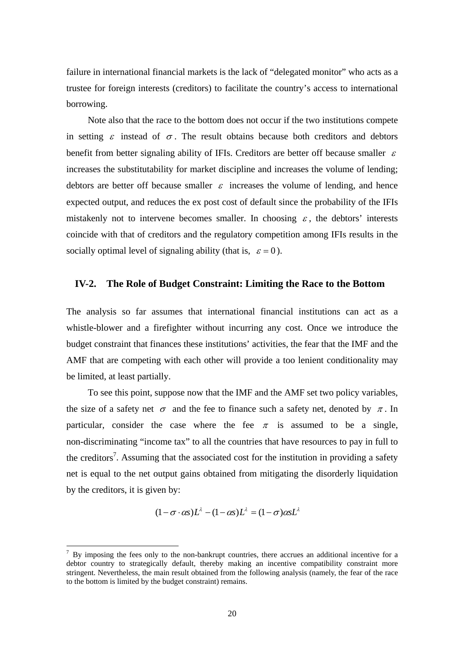failure in international financial markets is the lack of "delegated monitor" who acts as a trustee for foreign interests (creditors) to facilitate the country's access to international borrowing.

 Note also that the race to the bottom does not occur if the two institutions compete in setting  $\varepsilon$  instead of  $\sigma$ . The result obtains because both creditors and debtors benefit from better signaling ability of IFIs. Creditors are better off because smaller  $\varepsilon$ increases the substitutability for market discipline and increases the volume of lending; debtors are better off because smaller  $\varepsilon$  increases the volume of lending, and hence expected output, and reduces the ex post cost of default since the probability of the IFIs mistakenly not to intervene becomes smaller. In choosing  $\varepsilon$ , the debtors' interests coincide with that of creditors and the regulatory competition among IFIs results in the socially optimal level of signaling ability (that is,  $\varepsilon = 0$ ).

### **IV-2. The Role of Budget Constraint: Limiting the Race to the Bottom**

The analysis so far assumes that international financial institutions can act as a whistle-blower and a firefighter without incurring any cost. Once we introduce the budget constraint that finances these institutions' activities, the fear that the IMF and the AMF that are competing with each other will provide a too lenient conditionality may be limited, at least partially.

 To see this point, suppose now that the IMF and the AMF set two policy variables, the size of a safety net  $\sigma$  and the fee to finance such a safety net, denoted by  $\pi$ . In particular, consider the case where the fee  $\pi$  is assumed to be a single, non-discriminating "income tax" to all the countries that have resources to pay in full to the creditors<sup>7</sup>. Assuming that the associated cost for the institution in providing a safety net is equal to the net output gains obtained from mitigating the disorderly liquidation by the creditors, it is given by:

$$
(1 - \sigma \cdot \alpha s)L^{\lambda} - (1 - \alpha s)L^{\lambda} = (1 - \sigma)\alpha sL^{\lambda}
$$

 $\overline{a}$ 

 $<sup>7</sup>$  By imposing the fees only to the non-bankrupt countries, there accrues an additional incentive for a</sup> debtor country to strategically default, thereby making an incentive compatibility constraint more stringent. Nevertheless, the main result obtained from the following analysis (namely, the fear of the race to the bottom is limited by the budget constraint) remains.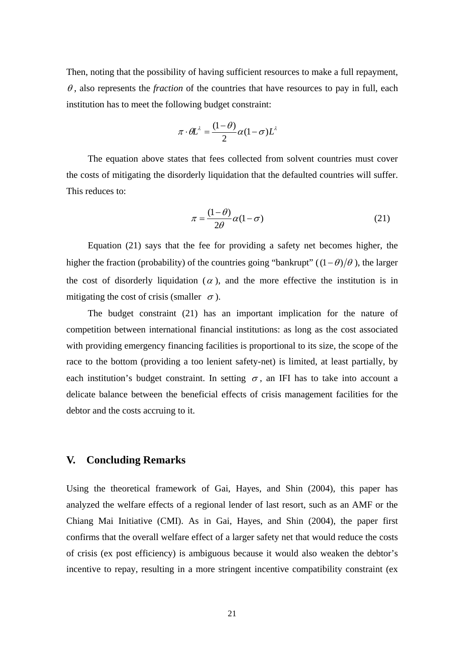Then, noting that the possibility of having sufficient resources to make a full repayment,  $\theta$ , also represents the *fraction* of the countries that have resources to pay in full, each institution has to meet the following budget constraint:

$$
\pi \cdot \theta L^{\lambda} = \frac{(1-\theta)}{2} \alpha (1-\sigma) L^{\lambda}
$$

 The equation above states that fees collected from solvent countries must cover the costs of mitigating the disorderly liquidation that the defaulted countries will suffer. This reduces to:

$$
\pi = \frac{(1-\theta)}{2\theta} \alpha (1-\sigma) \tag{21}
$$

 Equation (21) says that the fee for providing a safety net becomes higher, the higher the fraction (probability) of the countries going "bankrupt" ( $(1 - \theta)/\theta$ ), the larger the cost of disorderly liquidation ( $\alpha$ ), and the more effective the institution is in mitigating the cost of crisis (smaller  $\sigma$ ).

 The budget constraint (21) has an important implication for the nature of competition between international financial institutions: as long as the cost associated with providing emergency financing facilities is proportional to its size, the scope of the race to the bottom (providing a too lenient safety-net) is limited, at least partially, by each institution's budget constraint. In setting  $\sigma$ , an IFI has to take into account a delicate balance between the beneficial effects of crisis management facilities for the debtor and the costs accruing to it.

## **V. Concluding Remarks**

Using the theoretical framework of Gai, Hayes, and Shin (2004), this paper has analyzed the welfare effects of a regional lender of last resort, such as an AMF or the Chiang Mai Initiative (CMI). As in Gai, Hayes, and Shin (2004), the paper first confirms that the overall welfare effect of a larger safety net that would reduce the costs of crisis (ex post efficiency) is ambiguous because it would also weaken the debtor's incentive to repay, resulting in a more stringent incentive compatibility constraint (ex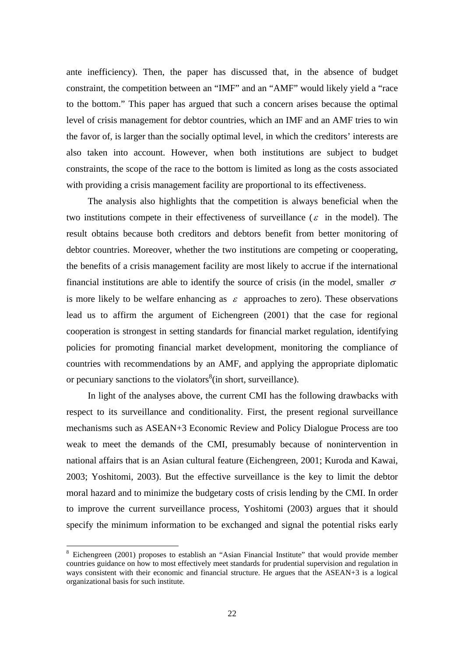ante inefficiency). Then, the paper has discussed that, in the absence of budget constraint, the competition between an "IMF" and an "AMF" would likely yield a "race to the bottom." This paper has argued that such a concern arises because the optimal level of crisis management for debtor countries, which an IMF and an AMF tries to win the favor of, is larger than the socially optimal level, in which the creditors' interests are also taken into account. However, when both institutions are subject to budget constraints, the scope of the race to the bottom is limited as long as the costs associated with providing a crisis management facility are proportional to its effectiveness.

 The analysis also highlights that the competition is always beneficial when the two institutions compete in their effectiveness of surveillance ( $\varepsilon$  in the model). The result obtains because both creditors and debtors benefit from better monitoring of debtor countries. Moreover, whether the two institutions are competing or cooperating, the benefits of a crisis management facility are most likely to accrue if the international financial institutions are able to identify the source of crisis (in the model, smaller  $\sigma$ is more likely to be welfare enhancing as  $\varepsilon$  approaches to zero). These observations lead us to affirm the argument of Eichengreen (2001) that the case for regional cooperation is strongest in setting standards for financial market regulation, identifying policies for promoting financial market development, monitoring the compliance of countries with recommendations by an AMF, and applying the appropriate diplomatic or pecuniary sanctions to the violators $\delta$ (in short, surveillance).

 In light of the analyses above, the current CMI has the following drawbacks with respect to its surveillance and conditionality. First, the present regional surveillance mechanisms such as ASEAN+3 Economic Review and Policy Dialogue Process are too weak to meet the demands of the CMI, presumably because of nonintervention in national affairs that is an Asian cultural feature (Eichengreen, 2001; Kuroda and Kawai, 2003; Yoshitomi, 2003). But the effective surveillance is the key to limit the debtor moral hazard and to minimize the budgetary costs of crisis lending by the CMI. In order to improve the current surveillance process, Yoshitomi (2003) argues that it should specify the minimum information to be exchanged and signal the potential risks early

<sup>&</sup>lt;sup>8</sup> Eichengreen (2001) proposes to establish an "Asian Financial Institute" that would provide member countries guidance on how to most effectively meet standards for prudential supervision and regulation in ways consistent with their economic and financial structure. He argues that the ASEAN+3 is a logical organizational basis for such institute.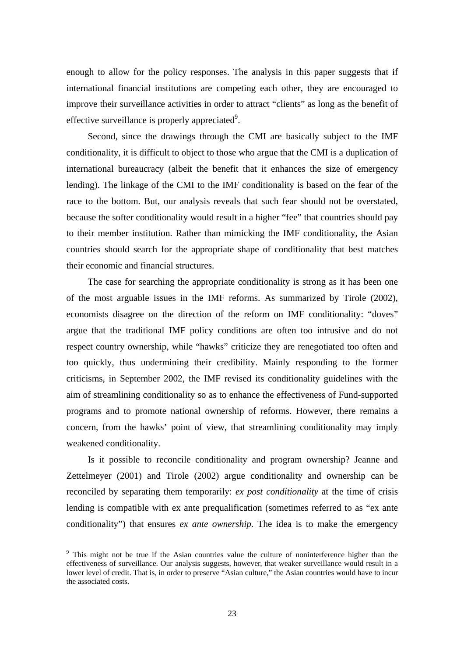enough to allow for the policy responses. The analysis in this paper suggests that if international financial institutions are competing each other, they are encouraged to improve their surveillance activities in order to attract "clients" as long as the benefit of effective surveillance is properly appreciated<sup>9</sup>.

 Second, since the drawings through the CMI are basically subject to the IMF conditionality, it is difficult to object to those who argue that the CMI is a duplication of international bureaucracy (albeit the benefit that it enhances the size of emergency lending). The linkage of the CMI to the IMF conditionality is based on the fear of the race to the bottom. But, our analysis reveals that such fear should not be overstated, because the softer conditionality would result in a higher "fee" that countries should pay to their member institution. Rather than mimicking the IMF conditionality, the Asian countries should search for the appropriate shape of conditionality that best matches their economic and financial structures.

 The case for searching the appropriate conditionality is strong as it has been one of the most arguable issues in the IMF reforms. As summarized by Tirole (2002), economists disagree on the direction of the reform on IMF conditionality: "doves" argue that the traditional IMF policy conditions are often too intrusive and do not respect country ownership, while "hawks" criticize they are renegotiated too often and too quickly, thus undermining their credibility. Mainly responding to the former criticisms, in September 2002, the IMF revised its conditionality guidelines with the aim of streamlining conditionality so as to enhance the effectiveness of Fund-supported programs and to promote national ownership of reforms. However, there remains a concern, from the hawks' point of view, that streamlining conditionality may imply weakened conditionality.

 Is it possible to reconcile conditionality and program ownership? Jeanne and Zettelmeyer (2001) and Tirole (2002) argue conditionality and ownership can be reconciled by separating them temporarily: *ex post conditionality* at the time of crisis lending is compatible with ex ante prequalification (sometimes referred to as "ex ante conditionality") that ensures *ex ante ownership*. The idea is to make the emergency

<sup>&</sup>lt;sup>9</sup> This might not be true if the Asian countries value the culture of noninterference higher than the effectiveness of surveillance. Our analysis suggests, however, that weaker surveillance would result in a lower level of credit. That is, in order to preserve "Asian culture," the Asian countries would have to incur the associated costs.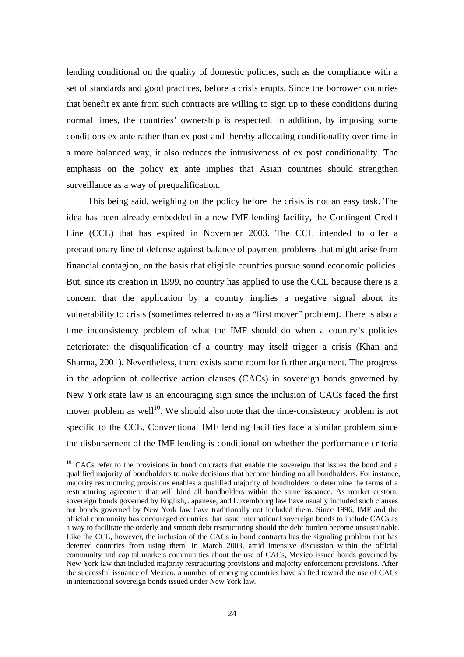lending conditional on the quality of domestic policies, such as the compliance with a set of standards and good practices, before a crisis erupts. Since the borrower countries that benefit ex ante from such contracts are willing to sign up to these conditions during normal times, the countries' ownership is respected. In addition, by imposing some conditions ex ante rather than ex post and thereby allocating conditionality over time in a more balanced way, it also reduces the intrusiveness of ex post conditionality. The emphasis on the policy ex ante implies that Asian countries should strengthen surveillance as a way of prequalification.

 This being said, weighing on the policy before the crisis is not an easy task. The idea has been already embedded in a new IMF lending facility, the Contingent Credit Line (CCL) that has expired in November 2003. The CCL intended to offer a precautionary line of defense against balance of payment problems that might arise from financial contagion, on the basis that eligible countries pursue sound economic policies. But, since its creation in 1999, no country has applied to use the CCL because there is a concern that the application by a country implies a negative signal about its vulnerability to crisis (sometimes referred to as a "first mover" problem). There is also a time inconsistency problem of what the IMF should do when a country's policies deteriorate: the disqualification of a country may itself trigger a crisis (Khan and Sharma, 2001). Nevertheless, there exists some room for further argument. The progress in the adoption of collective action clauses (CACs) in sovereign bonds governed by New York state law is an encouraging sign since the inclusion of CACs faced the first mover problem as well<sup>10</sup>. We should also note that the time-consistency problem is not specific to the CCL. Conventional IMF lending facilities face a similar problem since the disbursement of the IMF lending is conditional on whether the performance criteria

<sup>&</sup>lt;sup>10</sup> CACs refer to the provisions in bond contracts that enable the sovereign that issues the bond and a qualified majority of bondholders to make decisions that become binding on all bondholders. For instance, majority restructuring provisions enables a qualified majority of bondholders to determine the terms of a restructuring agreement that will bind all bondholders within the same issuance. As market custom, sovereign bonds governed by English, Japanese, and Luxembourg law have usually included such clauses but bonds governed by New York law have traditionally not included them. Since 1996, IMF and the official community has encouraged countries that issue international sovereign bonds to include CACs as a way to facilitate the orderly and smooth debt restructuring should the debt burden become unsustainable. Like the CCL, however, the inclusion of the CACs in bond contracts has the signaling problem that has deterred countries from using them. In March 2003, amid intensive discussion within the official community and capital markets communities about the use of CACs, Mexico issued bonds governed by New York law that included majority restructuring provisions and majority enforcement provisions. After the successful issuance of Mexico, a number of emerging countries have shifted toward the use of CACs in international sovereign bonds issued under New York law.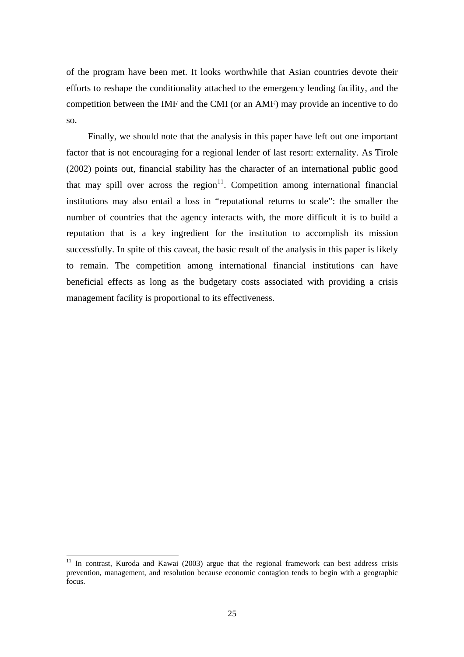of the program have been met. It looks worthwhile that Asian countries devote their efforts to reshape the conditionality attached to the emergency lending facility, and the competition between the IMF and the CMI (or an AMF) may provide an incentive to do so.

 Finally, we should note that the analysis in this paper have left out one important factor that is not encouraging for a regional lender of last resort: externality. As Tirole (2002) points out, financial stability has the character of an international public good that may spill over across the region<sup>11</sup>. Competition among international financial institutions may also entail a loss in "reputational returns to scale": the smaller the number of countries that the agency interacts with, the more difficult it is to build a reputation that is a key ingredient for the institution to accomplish its mission successfully. In spite of this caveat, the basic result of the analysis in this paper is likely to remain. The competition among international financial institutions can have beneficial effects as long as the budgetary costs associated with providing a crisis management facility is proportional to its effectiveness.

 $11$  In contrast, Kuroda and Kawai (2003) argue that the regional framework can best address crisis prevention, management, and resolution because economic contagion tends to begin with a geographic focus.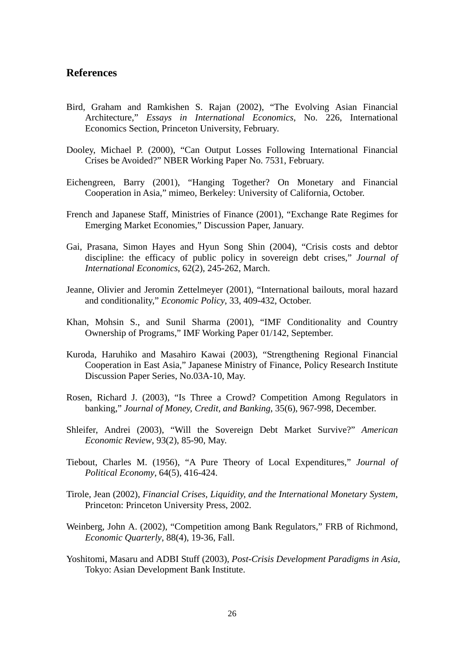# **References**

- Bird, Graham and Ramkishen S. Rajan (2002), "The Evolving Asian Financial Architecture," *Essays in International Economics*, No. 226, International Economics Section, Princeton University, February.
- Dooley, Michael P. (2000), "Can Output Losses Following International Financial Crises be Avoided?" NBER Working Paper No. 7531, February.
- Eichengreen, Barry (2001), "Hanging Together? On Monetary and Financial Cooperation in Asia," mimeo, Berkeley: University of California, October.
- French and Japanese Staff, Ministries of Finance (2001), "Exchange Rate Regimes for Emerging Market Economies," Discussion Paper, January.
- Gai, Prasana, Simon Hayes and Hyun Song Shin (2004), "Crisis costs and debtor discipline: the efficacy of public policy in sovereign debt crises," *Journal of International Economics*, 62(2), 245-262, March.
- Jeanne, Olivier and Jeromin Zettelmeyer (2001), "International bailouts, moral hazard and conditionality," *Economic Policy*, 33, 409-432, October.
- Khan, Mohsin S., and Sunil Sharma (2001), "IMF Conditionality and Country Ownership of Programs," IMF Working Paper 01/142, September.
- Kuroda, Haruhiko and Masahiro Kawai (2003), "Strengthening Regional Financial Cooperation in East Asia," Japanese Ministry of Finance, Policy Research Institute Discussion Paper Series, No.03A-10, May.
- Rosen, Richard J. (2003), "Is Three a Crowd? Competition Among Regulators in banking," *Journal of Money, Credit, and Banking*, 35(6), 967-998, December.
- Shleifer, Andrei (2003), "Will the Sovereign Debt Market Survive?" *American Economic Review*, 93(2), 85-90, May.
- Tiebout, Charles M. (1956), "A Pure Theory of Local Expenditures," *Journal of Political Economy*, 64(5), 416-424.
- Tirole, Jean (2002), *Financial Crises, Liquidity, and the International Monetary System*, Princeton: Princeton University Press, 2002.
- Weinberg, John A. (2002), "Competition among Bank Regulators," FRB of Richmond, *Economic Quarterly*, 88(4), 19-36, Fall.
- Yoshitomi, Masaru and ADBI Stuff (2003), *Post-Crisis Development Paradigms in Asia*, Tokyo: Asian Development Bank Institute.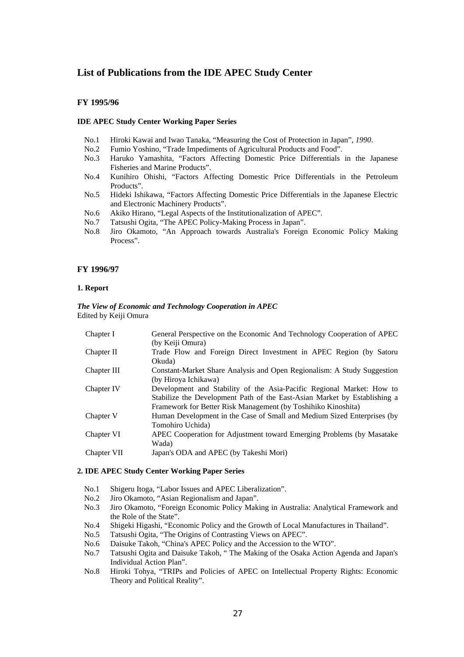## **List of Publications from the IDE APEC Study Center**

#### **FY 1995/96**

#### **IDE APEC Study Center Working Paper Series**

- No.1 Hiroki Kawai and Iwao Tanaka, "Measuring the Cost of Protection in Japan"*, 1990*.
- No.2 Fumio Yoshino, "Trade Impediments of Agricultural Products and Food".
- No.3 Haruko Yamashita, "Factors Affecting Domestic Price Differentials in the Japanese Fisheries and Marine Products".
- No.4 Kunihiro Ohishi, "Factors Affecting Domestic Price Differentials in the Petroleum Products".
- No.5 Hideki Ishikawa, "Factors Affecting Domestic Price Differentials in the Japanese Electric and Electronic Machinery Products".
- No.6 Akiko Hirano, "Legal Aspects of the Institutionalization of APEC".
- No.7 Tatsushi Ogita, "The APEC Policy-Making Process in Japan".
- No.8 Jiro Okamoto, "An Approach towards Australia's Foreign Economic Policy Making Process".

#### **FY 1996/97**

#### **1. Report**

#### *The View of Economic and Technology Cooperation in APEC*  Edited by Keiji Omura

| Chapter I   | General Perspective on the Economic And Technology Cooperation of APEC    |
|-------------|---------------------------------------------------------------------------|
|             | (by Keiji Omura)                                                          |
| Chapter II  | Trade Flow and Foreign Direct Investment in APEC Region (by Satoru        |
|             | Okuda)                                                                    |
| Chapter III | Constant-Market Share Analysis and Open Regionalism: A Study Suggestion   |
|             | (by Hiroya Ichikawa)                                                      |
| Chapter IV  | Development and Stability of the Asia-Pacific Regional Market: How to     |
|             | Stabilize the Development Path of the East-Asian Market by Establishing a |
|             | Framework for Better Risk Management (by Toshihiko Kinoshita)             |
| Chapter V   | Human Development in the Case of Small and Medium Sized Enterprises (by   |
|             | Tomohiro Uchida)                                                          |
| Chapter VI  | APEC Cooperation for Adjustment toward Emerging Problems (by Masatake)    |
|             | Wada)                                                                     |
| Chapter VII | Japan's ODA and APEC (by Takeshi Mori)                                    |
|             |                                                                           |

#### **2. IDE APEC Study Center Working Paper Series**

- No.1 Shigeru Itoga, "Labor Issues and APEC Liberalization".
- No.2 Jiro Okamoto, "Asian Regionalism and Japan".
- No.3 Jiro Okamoto, "Foreign Economic Policy Making in Australia: Analytical Framework and the Role of the State".
- No.4 Shigeki Higashi, "Economic Policy and the Growth of Local Manufactures in Thailand".
- No.5 Tatsushi Ogita, "The Origins of Contrasting Views on APEC".
- No.6 Daisuke Takoh, "China's APEC Policy and the Accession to the WTO".
- No.7 Tatsushi Ogita and Daisuke Takoh, " The Making of the Osaka Action Agenda and Japan's Individual Action Plan".
- No.8 Hiroki Tohya, "TRIPs and Policies of APEC on Intellectual Property Rights: Economic Theory and Political Reality".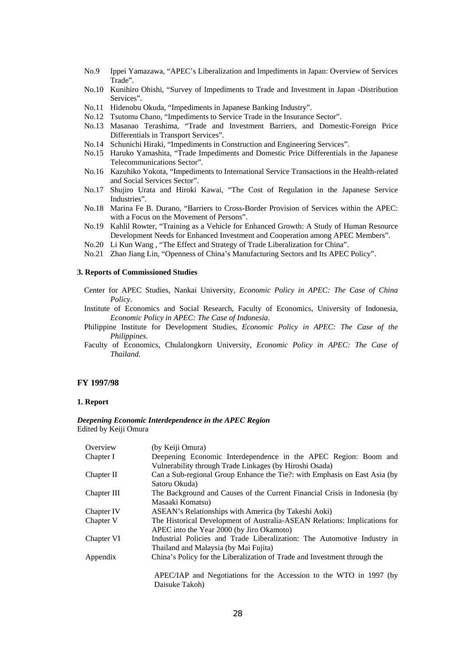- No.9 Ippei Yamazawa, "APEC's Liberalization and Impediments in Japan: Overview of Services Trade".
- No.10 Kunihiro Ohishi, "Survey of Impediments to Trade and Investment in Japan -Distribution Services".
- No.11 Hidenobu Okuda, "Impediments in Japanese Banking Industry".
- No.12 Tsutomu Chano, "Impediments to Service Trade in the Insurance Sector".
- No.13 Masanao Terashima, "Trade and Investment Barriers, and Domestic-Foreign Price Differentials in Transport Services".
- No.14 Schunichi Hiraki, "Impediments in Construction and Engineering Services".
- No.15 Haruko Yamashita, "Trade Impediments and Domestic Price Differentials in the Japanese Telecommunications Sector".
- No.16 Kazuhiko Yokota, "Impediments to International Service Transactions in the Health-related and Social Services Sector".
- No.17 Shujiro Urata and Hiroki Kawai, "The Cost of Regulation in the Japanese Service Industries".
- No.18 Marina Fe B. Durano, "Barriers to Cross-Border Provision of Services within the APEC: with a Focus on the Movement of Persons".
- No.19 Kahlil Rowter, "Training as a Vehicle for Enhanced Growth: A Study of Human Resource Development Needs for Enhanced Investment and Cooperation among APEC Members".
- No.20 Li Kun Wang , "The Effect and Strategy of Trade Liberalization for China".
- No.21 Zhao Jiang Lin, "Openness of China's Manufacturing Sectors and Its APEC Policy".

### **3. Reports of Commissioned Studies**

- Center for APEC Studies, Nankai University, *Economic Policy in APEC: The Case of China Policy*.
- Institute of Economics and Social Research, Faculty of Economics, University of Indonesia, *Economic Policy in APEC: The Case of Indonesia*.
- Philippine Institute for Development Studies, *Economic Policy in APEC: The Case of the Philippines*.
- Faculty of Economics, Chulalongkorn University, *Economic Policy in APEC: The Case of Thailand*.

#### **FY 1997/98**

#### **1. Report**

#### *Deepening Economic Interdependence in the APEC Region*  Edited by Keiji Omura

| Overview    | (by Keiji Omura)                                                           |
|-------------|----------------------------------------------------------------------------|
| Chapter I   | Deepening Economic Interdependence in the APEC Region: Boom and            |
|             | Vulnerability through Trade Linkages (by Hiroshi Osada)                    |
| Chapter II  | Can a Sub-regional Group Enhance the Tie?: with Emphasis on East Asia (by  |
|             | Satoru Okuda)                                                              |
| Chapter III | The Background and Causes of the Current Financial Crisis in Indonesia (by |
|             | Masaaki Komatsu)                                                           |
| Chapter IV  | ASEAN's Relationships with America (by Takeshi Aoki)                       |
| Chapter V   | The Historical Development of Australia-ASEAN Relations: Implications for  |
|             | APEC into the Year 2000 (by Jiro Okamoto)                                  |
| Chapter VI  | Industrial Policies and Trade Liberalization: The Automotive Industry in   |
|             | Thailand and Malaysia (by Mai Fujita)                                      |
| Appendix    | China's Policy for the Liberalization of Trade and Investment through the  |
|             | APEC/IAP and Negotiations for the Accession to the WTO in 1997 (by         |
|             |                                                                            |
|             | Daisuke Takoh)                                                             |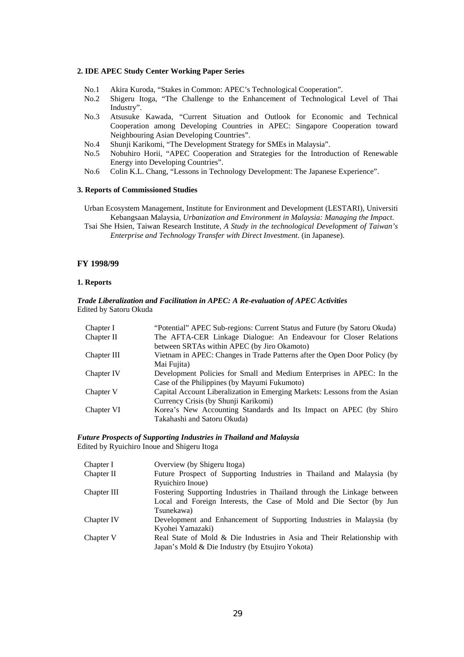#### **2. IDE APEC Study Center Working Paper Series**

- No.1 Akira Kuroda, "Stakes in Common: APEC's Technological Cooperation".
- No.2 Shigeru Itoga, "The Challenge to the Enhancement of Technological Level of Thai Industry".
- No.3 Atsusuke Kawada, "Current Situation and Outlook for Economic and Technical Cooperation among Developing Countries in APEC: Singapore Cooperation toward Neighbouring Asian Developing Countries".
- No.4 Shunji Karikomi, "The Development Strategy for SMEs in Malaysia".
- No.5 Nobuhiro Horii, "APEC Cooperation and Strategies for the Introduction of Renewable Energy into Developing Countries".
- No.6 Colin K.L. Chang, "Lessons in Technology Development: The Japanese Experience".

#### **3. Reports of Commissioned Studies**

Urban Ecosystem Management, Institute for Environment and Development (LESTARI), Universiti Kebangsaan Malaysia, *Urbanization and Environment in Malaysia: Managing the Impact*.

Tsai She Hsien, Taiwan Research Institute, *A Study in the technological Development of Taiwan's Enterprise and Technology Transfer with Direct Investment*. (in Japanese).

#### **FY 1998/99**

#### **1. Reports**

#### *Trade Liberalization and Facilitation in APEC: A Re-evaluation of APEC Activities*  Edited by Satoru Okuda

| Chapter I   | "Potential" APEC Sub-regions: Current Status and Future (by Satoru Okuda)  |
|-------------|----------------------------------------------------------------------------|
| Chapter II  | The AFTA-CER Linkage Dialogue: An Endeavour for Closer Relations           |
|             | between SRTAs within APEC (by Jiro Okamoto)                                |
| Chapter III | Vietnam in APEC: Changes in Trade Patterns after the Open Door Policy (by  |
|             | Mai Fujita)                                                                |
| Chapter IV  | Development Policies for Small and Medium Enterprises in APEC: In the      |
|             | Case of the Philippines (by Mayumi Fukumoto)                               |
| Chapter V   | Capital Account Liberalization in Emerging Markets: Lessons from the Asian |
|             | Currency Crisis (by Shunji Karikomi)                                       |
| Chapter VI  | Korea's New Accounting Standards and Its Impact on APEC (by Shiro          |
|             | Takahashi and Satoru Okuda)                                                |

#### *Future Prospects of Supporting Industries in Thailand and Malaysia*  Edited by Ryuichiro Inoue and Shigeru Itoga

| Chapter I   | Overview (by Shigeru Itoga)                                             |
|-------------|-------------------------------------------------------------------------|
| Chapter II  | Future Prospect of Supporting Industries in Thailand and Malaysia (by   |
|             | Ryuichiro Inoue)                                                        |
| Chapter III | Fostering Supporting Industries in Thailand through the Linkage between |
|             | Local and Foreign Interests, the Case of Mold and Die Sector (by Jun    |
|             | Tsunekawa)                                                              |
| Chapter IV  | Development and Enhancement of Supporting Industries in Malaysia (by    |
|             | Kyohei Yamazaki)                                                        |
| Chapter V   | Real State of Mold & Die Industries in Asia and Their Relationship with |
|             | Japan's Mold & Die Industry (by Etsujiro Yokota)                        |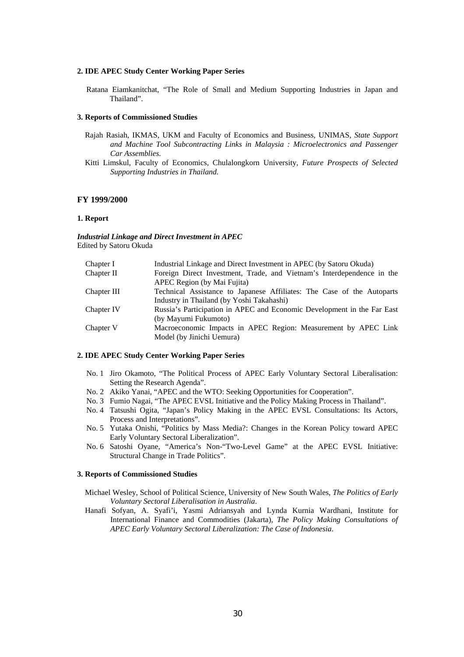#### **2. IDE APEC Study Center Working Paper Series**

Ratana Eiamkanitchat, "The Role of Small and Medium Supporting Industries in Japan and Thailand".

#### **3. Reports of Commissioned Studies**

- Rajah Rasiah, IKMAS, UKM and Faculty of Economics and Business, UNIMAS*, State Support and Machine Tool Subcontracting Links in Malaysia : Microelectronics and Passenger Car Assemblies.*
- Kitti Limskul, Faculty of Economics, Chulalongkorn University*, Future Prospects of Selected Supporting Industries in Thailand.*

#### **FY 1999/2000**

#### **1. Report**

*Industrial Linkage and Direct Investment in APEC*  Edited by Satoru Okuda

| Chapter I   | Industrial Linkage and Direct Investment in APEC (by Satoru Okuda)      |
|-------------|-------------------------------------------------------------------------|
| Chapter II  | Foreign Direct Investment, Trade, and Vietnam's Interdependence in the  |
|             | APEC Region (by Mai Fujita)                                             |
| Chapter III | Technical Assistance to Japanese Affiliates: The Case of the Autoparts  |
|             | Industry in Thailand (by Yoshi Takahashi)                               |
| Chapter IV  | Russia's Participation in APEC and Economic Development in the Far East |
|             | (by Mayumi Fukumoto)                                                    |
| Chapter V   | Macroeconomic Impacts in APEC Region: Measurement by APEC Link          |
|             | Model (by Jinichi Uemura)                                               |
|             |                                                                         |

#### **2. IDE APEC Study Center Working Paper Series**

- No. 1 Jiro Okamoto, "The Political Process of APEC Early Voluntary Sectoral Liberalisation: Setting the Research Agenda".
- No. 2 Akiko Yanai, "APEC and the WTO: Seeking Opportunities for Cooperation".
- No. 3 Fumio Nagai, "The APEC EVSL Initiative and the Policy Making Process in Thailand".
- No. 4 Tatsushi Ogita, "Japan's Policy Making in the APEC EVSL Consultations: Its Actors, Process and Interpretations".
- No. 5 Yutaka Onishi, "Politics by Mass Media?: Changes in the Korean Policy toward APEC Early Voluntary Sectoral Liberalization".
- No. 6 Satoshi Oyane, "America's Non-"Two-Level Game" at the APEC EVSL Initiative: Structural Change in Trade Politics".

#### **3. Reports of Commissioned Studies**

- Michael Wesley, School of Political Science, University of New South Wales, *The Politics of Early Voluntary Sectoral Liberalisation in Australia*.
- Hanafi Sofyan, A. Syafi'i, Yasmi Adriansyah and Lynda Kurnia Wardhani, Institute for International Finance and Commodities (Jakarta), *The Policy Making Consultations of APEC Early Voluntary Sectoral Liberalization: The Case of Indonesia*.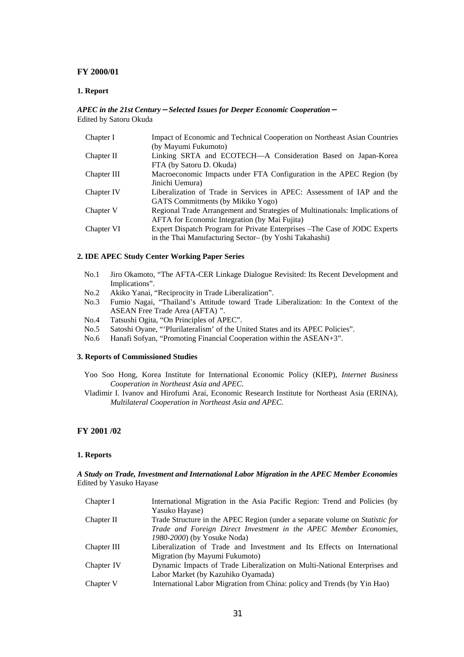#### **FY 2000/01**

#### **1. Report**

#### *APEC in the 21st Century*-*Selected Issues for Deeper Economic Cooperation*- Edited by Satoru Okuda

| Chapter I   | Impact of Economic and Technical Cooperation on Northeast Asian Countries    |
|-------------|------------------------------------------------------------------------------|
|             | (by Mayumi Fukumoto)                                                         |
| Chapter II  | Linking SRTA and ECOTECH—A Consideration Based on Japan-Korea                |
|             | FTA (by Satoru D. Okuda)                                                     |
| Chapter III | Macroeconomic Impacts under FTA Configuration in the APEC Region (by         |
|             | Jinichi Uemura)                                                              |
| Chapter IV  | Liberalization of Trade in Services in APEC: Assessment of IAP and the       |
|             | GATS Commitments (by Mikiko Yogo)                                            |
| Chapter V   | Regional Trade Arrangement and Strategies of Multinationals: Implications of |
|             | <b>AFTA</b> for Economic Integration (by Mai Fujita)                         |
| Chapter VI  | Expert Dispatch Program for Private Enterprises – The Case of JODC Experts   |
|             | in the Thai Manufacturing Sector- (by Yoshi Takahashi)                       |

#### **2. IDE APEC Study Center Working Paper Series**

- No.1 Jiro Okamoto, "The AFTA-CER Linkage Dialogue Revisited: Its Recent Development and Implications".
- No.2 Akiko Yanai, "Reciprocity in Trade Liberalization".
- No.3 Fumio Nagai, "Thailand's Attitude toward Trade Liberalization: In the Context of the ASEAN Free Trade Area (AFTA) ".
- No.4 Tatsushi Ogita, "On Principles of APEC".
- No.5 Satoshi Oyane, "'Plurilateralism' of the United States and its APEC Policies".
- No.6 Hanafi Sofyan, "Promoting Financial Cooperation within the ASEAN+3".

#### **3. Reports of Commissioned Studies**

- Yoo Soo Hong, Korea Institute for International Economic Policy (KIEP), *Internet Business Cooperation in Northeast Asia and APEC*.
- Vladimir I. Ivanov and Hirofumi Arai, Economic Research Institute for Northeast Asia (ERINA), *Multilateral Cooperation in Northeast Asia and APEC*.

### **FY 2001 /02**

#### **1. Reports**

#### *A Study on Trade, Investment and International Labor Migration in the APEC Member Economies*  Edited by Yasuko Hayase

| Chapter I   | International Migration in the Asia Pacific Region: Trend and Policies (by          |
|-------------|-------------------------------------------------------------------------------------|
|             | Yasuko Hayase)                                                                      |
| Chapter II  | Trade Structure in the APEC Region (under a separate volume on <i>Statistic for</i> |
|             | Trade and Foreign Direct Investment in the APEC Member Economies,                   |
|             | 1980-2000) (by Yosuke Noda)                                                         |
| Chapter III | Liberalization of Trade and Investment and Its Effects on International             |
|             | Migration (by Mayumi Fukumoto)                                                      |
| Chapter IV  | Dynamic Impacts of Trade Liberalization on Multi-National Enterprises and           |
|             | Labor Market (by Kazuhiko Oyamada)                                                  |
| Chapter V   | International Labor Migration from China: policy and Trends (by Yin Hao)            |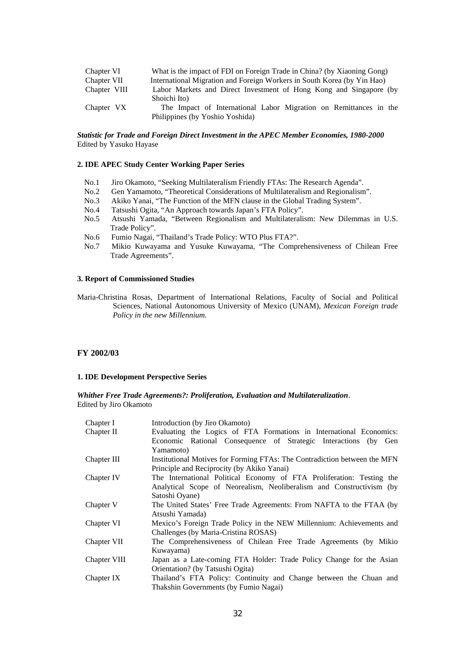| Chapter VI   | What is the impact of FDI on Foreign Trade in China? (by Xiaoning Gong) |
|--------------|-------------------------------------------------------------------------|
| Chapter VII  | International Migration and Foreign Workers in South Korea (by Yin Hao) |
| Chapter VIII | Labor Markets and Direct Investment of Hong Kong and Singapore (by      |
|              | Shoichi Ito)                                                            |
| Chapter VX   | The Impact of International Labor Migration on Remittances in the       |
|              | Philippines (by Yoshio Yoshida)                                         |

#### *Statistic for Trade and Foreign Direct Investment in the APEC Member Economies, 1980-2000*  Edited by Yasuko Hayase

#### **2. IDE APEC Study Center Working Paper Series**

- No.1 Jiro Okamoto, "Seeking Multilateralism Friendly FTAs: The Research Agenda".
- No.2 Gen Yamamoto, "Theoretical Considerations of Multilateralism and Regionalism".
- No.3 Akiko Yanai, "The Function of the MFN clause in the Global Trading System".
- No.4 Tatsushi Ogita, "An Approach towards Japan's FTA Policy".
- No.5 Atsushi Yamada, "Between Regionalism and Multilateralism: New Dilemmas in U.S. Trade Policy".
- No.6 Fumio Nagai, "Thailand's Trade Policy: WTO Plus FTA?".
- No.7 Mikio Kuwayama and Yusuke Kuwayama, "The Comprehensiveness of Chilean Free Trade Agreements".

#### **3. Report of Commissioned Studies**

Maria-Christina Rosas, Department of International Relations, Faculty of Social and Political Sciences, National Autonomous University of Mexico (UNAM), *Mexican Foreign trade Policy in the new Millennium.*

#### **FY 2002/03**

#### **1. IDE Development Perspective Series**

*Whither Free Trade Agreements?: Proliferation, Evaluation and Multilateralization*. Edited by Jiro Okamoto

| Chapter I    | Introduction (by Jiro Okamoto)                                            |
|--------------|---------------------------------------------------------------------------|
| Chapter II   | Evaluating the Logics of FTA Formations in International Economics:       |
|              | Economic Rational Consequence of Strategic Interactions (by Gen           |
|              | Yamamoto)                                                                 |
| Chapter III  | Institutional Motives for Forming FTAs: The Contradiction between the MFN |
|              | Principle and Reciprocity (by Akiko Yanai)                                |
| Chapter IV   | The International Political Economy of FTA Proliferation: Testing the     |
|              | Analytical Scope of Neorealism, Neoliberalism and Constructivism (by      |
|              | Satoshi Oyane)                                                            |
| Chapter V    | The United States' Free Trade Agreements: From NAFTA to the FTAA (by      |
|              | Atsushi Yamada)                                                           |
| Chapter VI   | Mexico's Foreign Trade Policy in the NEW Millennium: Achievements and     |
|              | Challenges (by Maria-Cristina ROSAS)                                      |
| Chapter VII  | The Comprehensiveness of Chilean Free Trade Agreements (by Mikio          |
|              | Kuwayama)                                                                 |
| Chapter VIII | Japan as a Late-coming FTA Holder: Trade Policy Change for the Asian      |
|              | Orientation? (by Tatsushi Ogita)                                          |
| Chapter IX   | Thailand's FTA Policy: Continuity and Change between the Chuan and        |
|              | Thakshin Governments (by Fumio Nagai)                                     |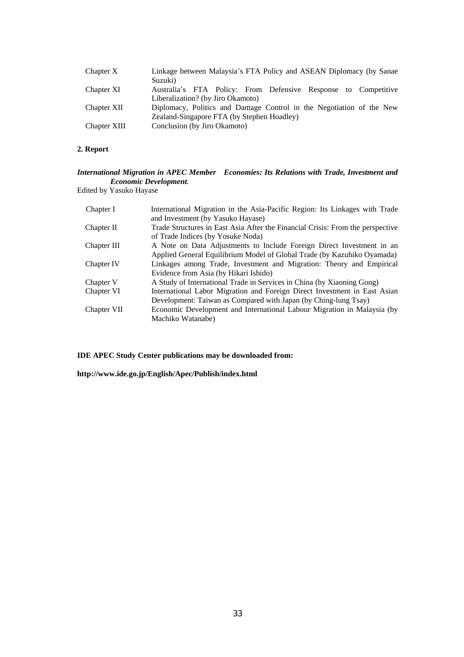| Chapter X    | Linkage between Malaysia's FTA Policy and ASEAN Diplomacy (by Sanae<br>Suzuki)                      |
|--------------|-----------------------------------------------------------------------------------------------------|
| Chapter XI   | Australia's FTA Policy: From Defensive Response to Competitive<br>Liberalization? (by Jiro Okamoto) |
| Chapter XII  | Diplomacy, Politics and Damage Control in the Negotiation of the New                                |
|              | Zealand-Singapore FTA (by Stephen Hoadley)                                                          |
| Chapter XIII | Conclusion (by Jiro Okamoto)                                                                        |

### **2. Report**

### *International Migration in APEC Member Economies: Its Relations with Trade, Investment and Economic Development.*

Edited by Yasuko Hayase

| Chapter I   | International Migration in the Asia-Pacific Region: Its Linkages with Trade    |
|-------------|--------------------------------------------------------------------------------|
|             | and Investment (by Yasuko Hayase)                                              |
| Chapter II  | Trade Structures in East Asia After the Financial Crisis: From the perspective |
|             | of Trade Indices (by Yosuke Noda)                                              |
| Chapter III | A Note on Data Adjustments to Include Foreign Direct Investment in an          |
|             | Applied General Equilibrium Model of Global Trade (by Kazuhiko Oyamada)        |
| Chapter IV  | Linkages among Trade, Investment and Migration: Theory and Empirical           |
|             | Evidence from Asia (by Hikari Ishido)                                          |
| Chapter V   | A Study of International Trade in Services in China (by Xiaoning Gong)         |
| Chapter VI  | International Labor Migration and Foreign Direct Investment in East Asian      |
|             | Development: Taiwan as Compared with Japan (by Ching-lung Tsay)                |
| Chapter VII | Economic Development and International Labour Migration in Malaysia (by        |
|             | Machiko Watanabe)                                                              |

**IDE APEC Study Center publications may be downloaded from:** 

**http://www.ide.go.jp/English/Apec/Publish/index.html**